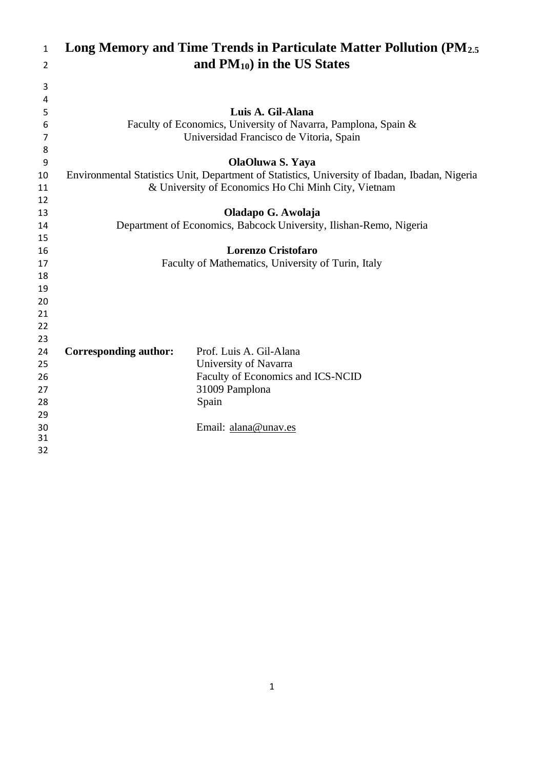| $\mathbf{1}$   |                              | Long Memory and Time Trends in Particulate Matter Pollution (PM <sub>2.5</sub> )               |
|----------------|------------------------------|------------------------------------------------------------------------------------------------|
| $\overline{2}$ |                              | and $PM_{10}$ ) in the US States                                                               |
| 3              |                              |                                                                                                |
| 4              |                              |                                                                                                |
| 5              |                              | Luis A. Gil-Alana                                                                              |
| 6              |                              | Faculty of Economics, University of Navarra, Pamplona, Spain &                                 |
| 7              |                              | Universidad Francisco de Vitoria, Spain                                                        |
| 8              |                              |                                                                                                |
| 9              |                              | OlaOluwa S. Yaya                                                                               |
| 10             |                              | Environmental Statistics Unit, Department of Statistics, University of Ibadan, Ibadan, Nigeria |
| 11             |                              | & University of Economics Ho Chi Minh City, Vietnam                                            |
| 12             |                              |                                                                                                |
| 13             |                              | Oladapo G. Awolaja                                                                             |
| 14             |                              | Department of Economics, Babcock University, Ilishan-Remo, Nigeria                             |
| 15             |                              |                                                                                                |
| 16             |                              | <b>Lorenzo Cristofaro</b>                                                                      |
| 17             |                              | Faculty of Mathematics, University of Turin, Italy                                             |
| 18             |                              |                                                                                                |
| 19             |                              |                                                                                                |
| 20             |                              |                                                                                                |
| 21             |                              |                                                                                                |
| 22             |                              |                                                                                                |
| 23             |                              |                                                                                                |
| 24<br>25       | <b>Corresponding author:</b> | Prof. Luis A. Gil-Alana                                                                        |
|                |                              | University of Navarra                                                                          |
| 26             |                              | Faculty of Economics and ICS-NCID                                                              |
| 27             |                              | 31009 Pamplona                                                                                 |
| 28<br>29       |                              | Spain                                                                                          |
| 30             |                              | Email: alana@unav.es                                                                           |
| 31             |                              |                                                                                                |
| 32             |                              |                                                                                                |
|                |                              |                                                                                                |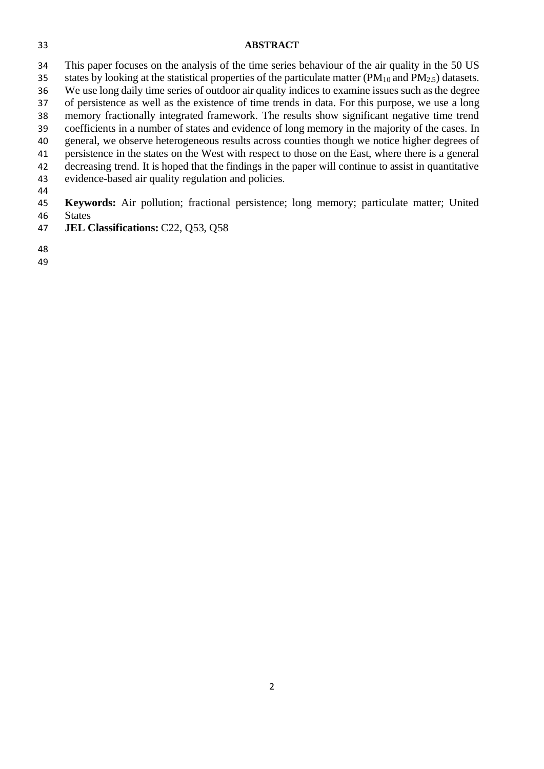#### **ABSTRACT**

 This paper focuses on the analysis of the time series behaviour of the air quality in the 50 US 35 states by looking at the statistical properties of the particulate matter ( $PM_{10}$  and  $PM_{2.5}$ ) datasets. We use long daily time series of outdoor air quality indices to examine issues such as the degree of persistence as well as the existence of time trends in data. For this purpose, we use a long memory fractionally integrated framework. The results show significant negative time trend coefficients in a number of states and evidence of long memory in the majority of the cases. In general, we observe heterogeneous results across counties though we notice higher degrees of persistence in the states on the West with respect to those on the East, where there is a general decreasing trend. It is hoped that the findings in the paper will continue to assist in quantitative

evidence-based air quality regulation and policies.

 **Keywords:** Air pollution; fractional persistence; long memory; particulate matter; United States

- **JEL Classifications:** C22, Q53, Q58
- 
-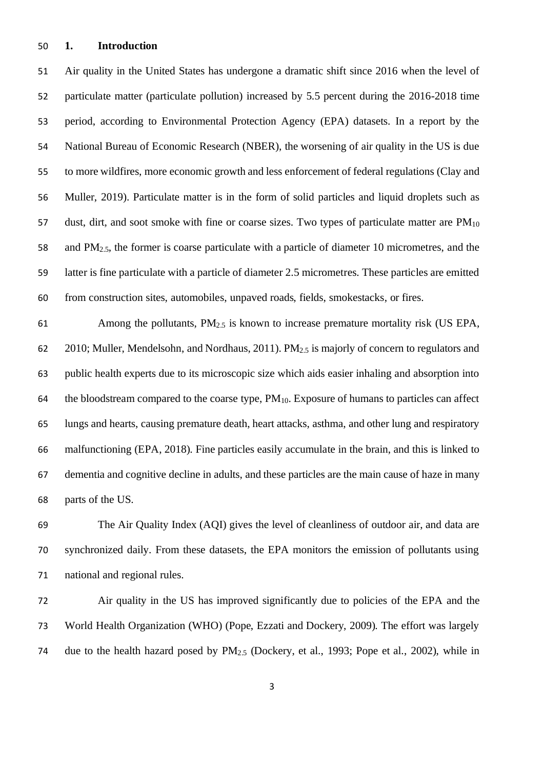#### **1. Introduction**

 Air quality in the United States has undergone a dramatic shift since 2016 when the level of particulate matter (particulate pollution) increased by 5.5 percent during the 2016-2018 time period, according to Environmental Protection Agency (EPA) datasets. In a report by the National Bureau of Economic Research (NBER), the worsening of air quality in the US is due to more wildfires, more economic growth and less enforcement of federal regulations (Clay and Muller, 2019). Particulate matter is in the form of solid particles and liquid droplets such as 57 dust, dirt, and soot smoke with fine or coarse sizes. Two types of particulate matter are  $PM_{10}$  and PM2.5, the former is coarse particulate with a particle of diameter 10 micrometres, and the latter is fine particulate with a particle of diameter 2.5 micrometres. These particles are emitted from construction sites, automobiles, unpaved roads, fields, smokestacks, or fires.

61 Among the pollutants,  $PM_{2.5}$  is known to increase premature mortality risk (US EPA, 62 2010; Muller, Mendelsohn, and Nordhaus, 2011). PM<sub>2.5</sub> is majorly of concern to regulators and public health experts due to its microscopic size which aids easier inhaling and absorption into 64 the bloodstream compared to the coarse type,  $PM_{10}$ . Exposure of humans to particles can affect lungs and hearts, causing premature death, heart attacks, asthma, and other lung and respiratory malfunctioning (EPA, 2018). Fine particles easily accumulate in the brain, and this is linked to dementia and cognitive decline in adults, and these particles are the main cause of haze in many parts of the US.

 The Air Quality Index (AQI) gives the level of cleanliness of outdoor air, and data are synchronized daily. From these datasets, the EPA monitors the emission of pollutants using national and regional rules.

 Air quality in the US has improved significantly due to policies of the EPA and the World Health Organization (WHO) (Pope, Ezzati and Dockery, 2009). The effort was largely due to the health hazard posed by PM2.5 (Dockery, et al., 1993; Pope et al., 2002), while in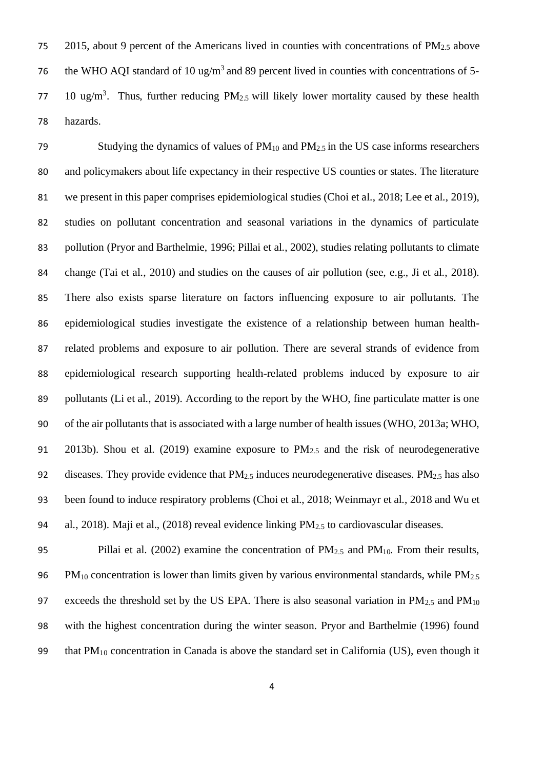75 2015, about 9 percent of the Americans lived in counties with concentrations of  $PM<sub>2.5</sub>$  above 76 the WHO AQI standard of 10 ug/m<sup>3</sup> and 89 percent lived in counties with concentrations of 5-77 10 ug/m<sup>3</sup>. Thus, further reducing  $PM_{2.5}$  will likely lower mortality caused by these health 78 hazards.

79 Studying the dynamics of values of  $PM_{10}$  and  $PM_{2.5}$  in the US case informs researchers and policymakers about life expectancy in their respective US counties or states. The literature we present in this paper comprises epidemiological studies (Choi et al., 2018; Lee et al., 2019), studies on pollutant concentration and seasonal variations in the dynamics of particulate pollution (Pryor and Barthelmie, 1996; Pillai et al., 2002), studies relating pollutants to climate change (Tai et al., 2010) and studies on the causes of air pollution (see, e.g., Ji et al., 2018). There also exists sparse literature on factors influencing exposure to air pollutants. The epidemiological studies investigate the existence of a relationship between human health- related problems and exposure to air pollution. There are several strands of evidence from epidemiological research supporting health-related problems induced by exposure to air 89 pollutants (Li et al., 2019). According to the report by the WHO, fine particulate matter is one of the air pollutants that is associated with a large number of health issues (WHO, 2013a; WHO, 91 2013b). Shou et al. (2019) examine exposure to  $PM_{2.5}$  and the risk of neurodegenerative 92 diseases. They provide evidence that  $PM_{2.5}$  induces neurodegenerative diseases.  $PM_{2.5}$  has also been found to induce respiratory problems (Choi et al., 2018; Weinmayr et al., 2018 and Wu et 94 al., 2018). Maji et al., (2018) reveal evidence linking  $PM_{2.5}$  to cardiovascular diseases.

95 Pillai et al. (2002) examine the concentration of PM<sub>2.5</sub> and PM<sub>10</sub>. From their results, 96 PM<sub>10</sub> concentration is lower than limits given by various environmental standards, while  $PM_{2.5}$ 97 exceeds the threshold set by the US EPA. There is also seasonal variation in  $PM_{2.5}$  and  $PM_{10}$ 98 with the highest concentration during the winter season. Pryor and Barthelmie (1996) found 99 that  $PM_{10}$  concentration in Canada is above the standard set in California (US), even though it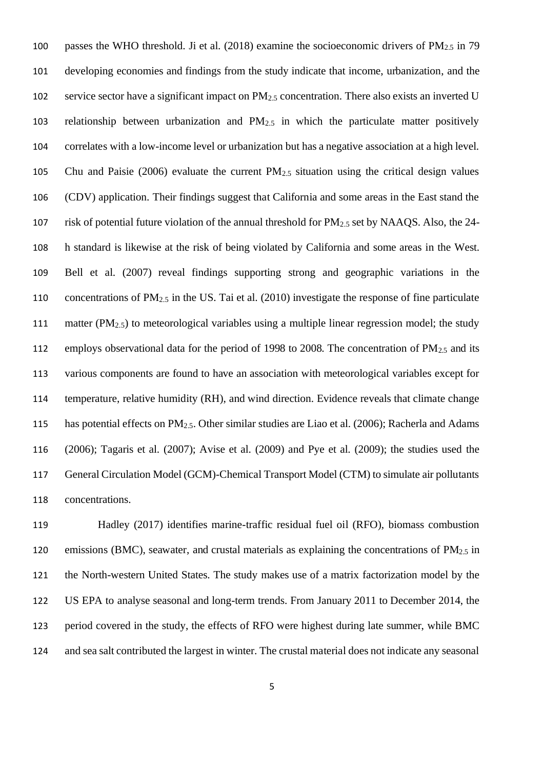100 passes the WHO threshold. Ji et al. (2018) examine the socioeconomic drivers of  $PM_{2.5}$  in 79 developing economies and findings from the study indicate that income, urbanization, and the 102 service sector have a significant impact on  $PM_{2.5}$  concentration. There also exists an inverted U relationship between urbanization and PM2.5 in which the particulate matter positively correlates with a low-income level or urbanization but has a negative association at a high level. Chu and Paisie (2006) evaluate the current PM2.5 situation using the critical design values (CDV) application. Their findings suggest that California and some areas in the East stand the risk of potential future violation of the annual threshold for PM2.5 set by NAAQS. Also, the 24- h standard is likewise at the risk of being violated by California and some areas in the West. Bell et al. (2007) reveal findings supporting strong and geographic variations in the concentrations of PM2.5 in the US. Tai et al. (2010) investigate the response of fine particulate 111 matter ( $PM_{2,5}$ ) to meteorological variables using a multiple linear regression model; the study 112 employs observational data for the period of 1998 to 2008. The concentration of  $PM_{2.5}$  and its various components are found to have an association with meteorological variables except for temperature, relative humidity (RH), and wind direction. Evidence reveals that climate change has potential effects on PM2.5. Other similar studies are Liao et al. (2006); Racherla and Adams (2006); Tagaris et al. (2007); Avise et al. (2009) and Pye et al. (2009); the studies used the General Circulation Model (GCM)-Chemical Transport Model (CTM) to simulate air pollutants concentrations.

 Hadley (2017) identifies marine-traffic residual fuel oil (RFO), biomass combustion 120 emissions (BMC), seawater, and crustal materials as explaining the concentrations of  $PM<sub>2.5</sub>$  in the North-western United States. The study makes use of a matrix factorization model by the US EPA to analyse seasonal and long-term trends. From January 2011 to December 2014, the period covered in the study, the effects of RFO were highest during late summer, while BMC and sea salt contributed the largest in winter. The crustal material does not indicate any seasonal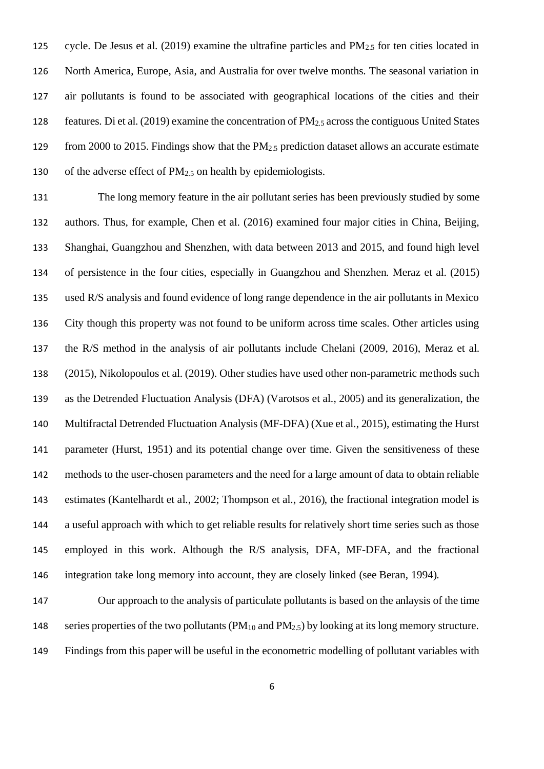125 cycle. De Jesus et al. (2019) examine the ultrafine particles and  $PM_{2.5}$  for ten cities located in North America, Europe, Asia, and Australia for over twelve months. The seasonal variation in air pollutants is found to be associated with geographical locations of the cities and their features. Di et al. (2019) examine the concentration of PM2.5 across the contiguous United States 129 from 2000 to 2015. Findings show that the PM<sub>2.5</sub> prediction dataset allows an accurate estimate 130 of the adverse effect of  $PM<sub>2.5</sub>$  on health by epidemiologists.

 The long memory feature in the air pollutant series has been previously studied by some authors. Thus, for example, Chen et al. (2016) examined four major cities in China, Beijing, Shanghai, Guangzhou and Shenzhen, with data between 2013 and 2015, and found high level of persistence in the four cities, especially in Guangzhou and Shenzhen. Meraz et al. (2015) used R/S analysis and found evidence of long range dependence in the air pollutants in Mexico City though this property was not found to be uniform across time scales. Other articles using the R/S method in the analysis of air pollutants include Chelani (2009, 2016), Meraz et al. (2015), Nikolopoulos et al. (2019). Other studies have used other non-parametric methods such as the Detrended Fluctuation Analysis (DFA) (Varotsos et al., 2005) and its generalization, the Multifractal Detrended Fluctuation Analysis (MF-DFA) (Xue et al., 2015), estimating the Hurst parameter (Hurst, 1951) and its potential change over time. Given the sensitiveness of these methods to the user-chosen parameters and the need for a large amount of data to obtain reliable estimates (Kantelhardt et al., 2002; Thompson et al., 2016), the fractional integration model is a useful approach with which to get reliable results for relatively short time series such as those employed in this work. Although the R/S analysis, DFA, MF-DFA, and the fractional integration take long memory into account, they are closely linked (see Beran, 1994).

 Our approach to the analysis of particulate pollutants is based on the anlaysis of the time 148 series properties of the two pollutants  $(PM_{10}$  and  $PM_{2.5})$  by looking at its long memory structure. Findings from this paper will be useful in the econometric modelling of pollutant variables with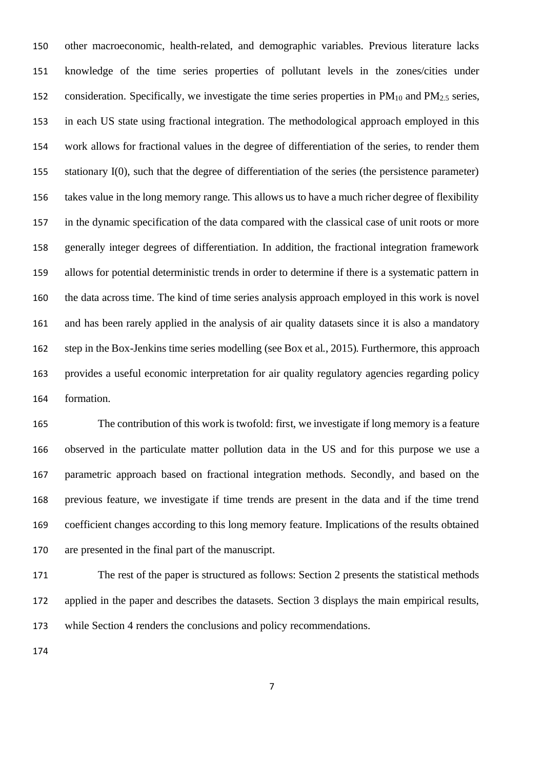other macroeconomic, health-related, and demographic variables. Previous literature lacks knowledge of the time series properties of pollutant levels in the zones/cities under 152 consideration. Specifically, we investigate the time series properties in  $PM_{10}$  and  $PM_{2.5}$  series, in each US state using fractional integration. The methodological approach employed in this work allows for fractional values in the degree of differentiation of the series, to render them stationary I(0), such that the degree of differentiation of the series (the persistence parameter) takes value in the long memory range. This allows us to have a much richer degree of flexibility in the dynamic specification of the data compared with the classical case of unit roots or more generally integer degrees of differentiation. In addition, the fractional integration framework allows for potential deterministic trends in order to determine if there is a systematic pattern in the data across time. The kind of time series analysis approach employed in this work is novel and has been rarely applied in the analysis of air quality datasets since it is also a mandatory step in the Box-Jenkins time series modelling (see Box et al., 2015). Furthermore, this approach provides a useful economic interpretation for air quality regulatory agencies regarding policy formation.

 The contribution of this work is twofold: first, we investigate if long memory is a feature observed in the particulate matter pollution data in the US and for this purpose we use a parametric approach based on fractional integration methods. Secondly, and based on the previous feature, we investigate if time trends are present in the data and if the time trend coefficient changes according to this long memory feature. Implications of the results obtained are presented in the final part of the manuscript.

 The rest of the paper is structured as follows: Section 2 presents the statistical methods applied in the paper and describes the datasets. Section 3 displays the main empirical results, while Section 4 renders the conclusions and policy recommendations.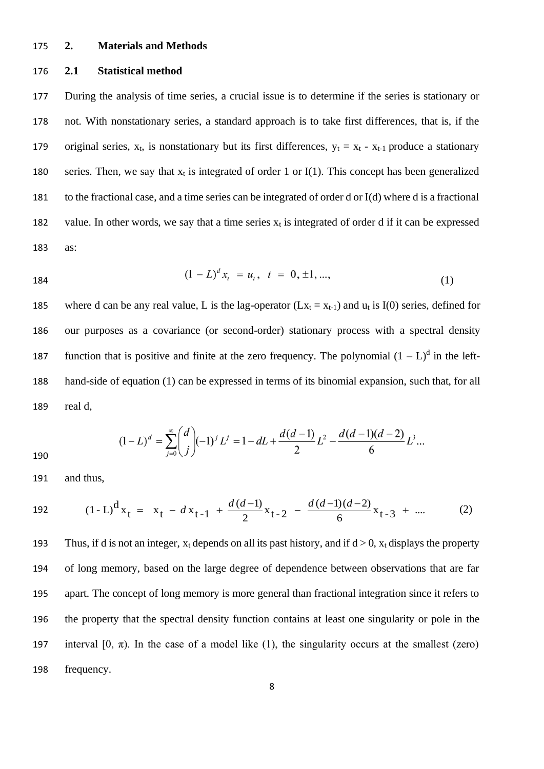#### 175 **2. Materials and Methods**

#### 176 **2.1 Statistical method**

177 During the analysis of time series, a crucial issue is to determine if the series is stationary or 178 not. With nonstationary series, a standard approach is to take first differences, that is, if the 179 original series,  $x_t$ , is nonstationary but its first differences,  $y_t = x_t - x_{t-1}$  produce a stationary 180 series. Then, we say that  $x_t$  is integrated of order 1 or I(1). This concept has been generalized 181 to the fractional case, and a time series can be integrated of order d or I(d) where d is a fractional 182 value. In other words, we say that a time series  $x_t$  is integrated of order d if it can be expressed 183 as:

184 
$$
(1 - L)^d x_t = u_t, \quad t = 0, \pm 1, ..., \tag{1}
$$

185 where d can be any real value, L is the lag-operator ( $Lx_t = x_{t-1}$ ) and  $u_t$  is I(0) series, defined for 186 our purposes as a covariance (or second-order) stationary process with a spectral density 187 function that is positive and finite at the zero frequency. The polynomial  $(1 - L)^d$  in the left-188 hand-side of equation (1) can be expressed in terms of its binomial expansion, such that, for all 189 real d,

$$
(1-L)^d = \sum_{j=0}^{\infty} {d \choose j} (-1)^j L^j = 1 - dL + \frac{d(d-1)}{2} L^2 - \frac{d(d-1)(d-2)}{6} L^3 ...
$$

190

191 and thus,

192 
$$
(1-L)^{d}x_{t} = x_{t} - dx_{t-1} + \frac{d(d-1)}{2}x_{t-2} - \frac{d(d-1)(d-2)}{6}x_{t-3} + \dots
$$
 (2)

193 Thus, if d is not an integer,  $x_t$  depends on all its past history, and if  $d > 0$ ,  $x_t$  displays the property of long memory, based on the large degree of dependence between observations that are far apart. The concept of long memory is more general than fractional integration since it refers to the property that the spectral density function contains at least one singularity or pole in the 197 interval  $[0, \pi)$ . In the case of a model like (1), the singularity occurs at the smallest (zero) frequency.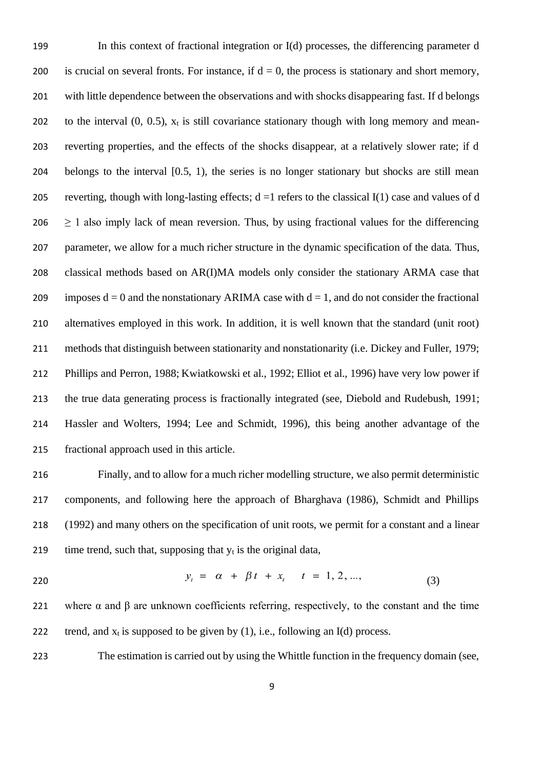In this context of fractional integration or I(d) processes, the differencing parameter d 200 is crucial on several fronts. For instance, if  $d = 0$ , the process is stationary and short memory, with little dependence between the observations and with shocks disappearing fast. If d belongs 202 to the interval  $(0, 0.5)$ ,  $x_t$  is still covariance stationary though with long memory and mean- reverting properties, and the effects of the shocks disappear, at a relatively slower rate; if d belongs to the interval [0.5, 1), the series is no longer stationary but shocks are still mean 205 reverting, though with long-lasting effects;  $d = 1$  refers to the classical I(1) case and values of d  $\geq$  1 also imply lack of mean reversion. Thus, by using fractional values for the differencing parameter, we allow for a much richer structure in the dynamic specification of the data. Thus, classical methods based on AR(I)MA models only consider the stationary ARMA case that 209 imposes  $d = 0$  and the nonstationary ARIMA case with  $d = 1$ , and do not consider the fractional alternatives employed in this work. In addition, it is well known that the standard (unit root) methods that distinguish between stationarity and nonstationarity (i.e. Dickey and Fuller, 1979; Phillips and Perron, 1988; Kwiatkowski et al., 1992; Elliot et al., 1996) have very low power if the true data generating process is fractionally integrated (see, Diebold and Rudebush, 1991; Hassler and Wolters, 1994; Lee and Schmidt, 1996), this being another advantage of the fractional approach used in this article.

 Finally, and to allow for a much richer modelling structure, we also permit deterministic components, and following here the approach of Bharghava (1986), Schmidt and Phillips (1992) and many others on the specification of unit roots, we permit for a constant and a linear 219 time trend, such that, supposing that  $y_t$  is the original data,

$$
y_t = \alpha + \beta t + x_t \quad t = 1, 2, ..., \tag{3}
$$

221 where  $\alpha$  and  $\beta$  are unknown coefficients referring, respectively, to the constant and the time 222 trend, and  $x_t$  is supposed to be given by (1), i.e., following an I(d) process.

The estimation is carried out by using the Whittle function in the frequency domain (see,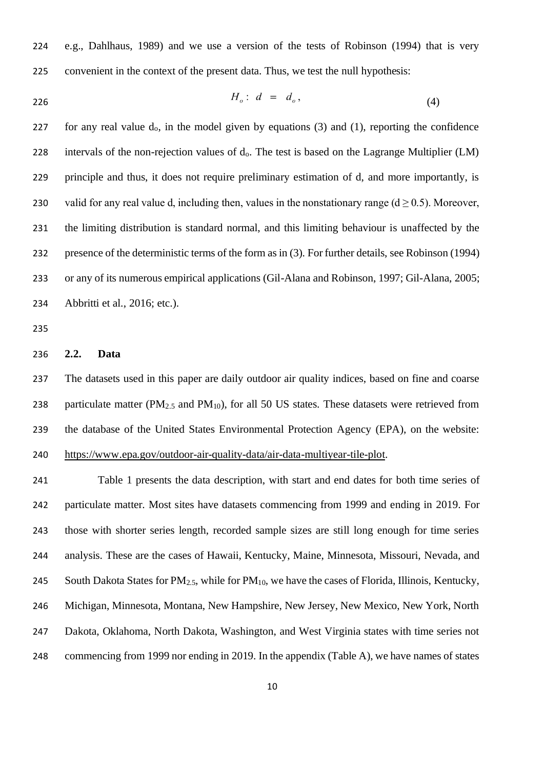e.g., Dahlhaus, 1989) and we use a version of the tests of Robinson (1994) that is very convenient in the context of the present data. Thus, we test the null hypothesis:

$$
H_o: d = d_o, \tag{4}
$$

227 for any real value  $d_0$ , in the model given by equations (3) and (1), reporting the confidence 228 intervals of the non-rejection values of d<sub>0</sub>. The test is based on the Lagrange Multiplier (LM) principle and thus, it does not require preliminary estimation of d, and more importantly, is 230 valid for any real value d, including then, values in the nonstationary range ( $d \ge 0.5$ ). Moreover, the limiting distribution is standard normal, and this limiting behaviour is unaffected by the presence of the deterministic terms of the form as in (3). For further details, see Robinson (1994) or any of its numerous empirical applications (Gil-Alana and Robinson, 1997; Gil-Alana, 2005; Abbritti et al., 2016; etc.).

#### **2.2. Data**

 The datasets used in this paper are daily outdoor air quality indices, based on fine and coarse 238 particulate matter ( $PM_{2.5}$  and  $PM_{10}$ ), for all 50 US states. These datasets were retrieved from the database of the United States Environmental Protection Agency (EPA), on the website: [https://www.epa.gov/outdoor-air-quality-data/air-data-multiyear-tile-plot.](https://www.epa.gov/outdoor-air-quality-data/air-data-multiyear-tile-plot)

 Table 1 presents the data description, with start and end dates for both time series of particulate matter. Most sites have datasets commencing from 1999 and ending in 2019. For those with shorter series length, recorded sample sizes are still long enough for time series analysis. These are the cases of Hawaii, Kentucky, Maine, Minnesota, Missouri, Nevada, and 245 South Dakota States for  $PM_{2.5}$ , while for  $PM_{10}$ , we have the cases of Florida, Illinois, Kentucky, Michigan, Minnesota, Montana, New Hampshire, New Jersey, New Mexico, New York, North Dakota, Oklahoma, North Dakota, Washington, and West Virginia states with time series not commencing from 1999 nor ending in 2019. In the appendix (Table A), we have names of states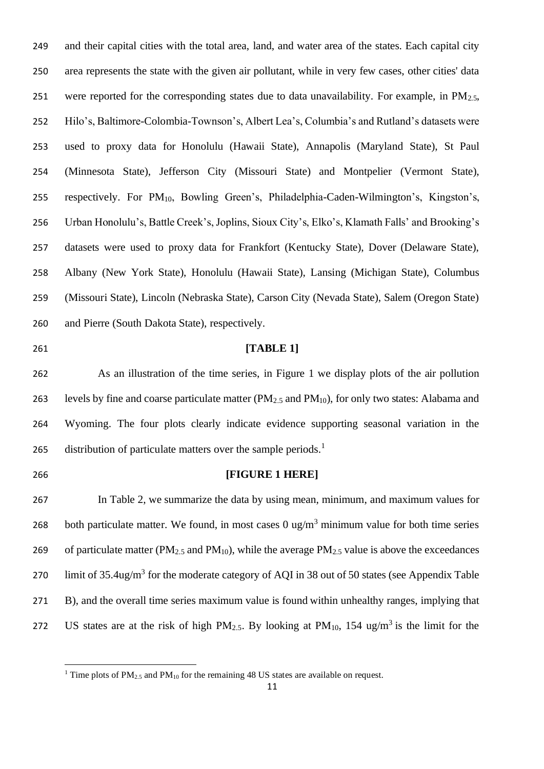and their capital cities with the total area, land, and water area of the states. Each capital city area represents the state with the given air pollutant, while in very few cases, other cities' data 251 were reported for the corresponding states due to data unavailability. For example, in  $PM_{2.5}$ , Hilo's, Baltimore-Colombia-Townson's, Albert Lea's, Columbia's and Rutland's datasets were used to proxy data for Honolulu (Hawaii State), Annapolis (Maryland State), St Paul (Minnesota State), Jefferson City (Missouri State) and Montpelier (Vermont State), respectively. For PM10, Bowling Green's, Philadelphia-Caden-Wilmington's, Kingston's, Urban Honolulu's, Battle Creek's, Joplins, Sioux City's, Elko's, Klamath Falls' and Brooking's datasets were used to proxy data for Frankfort (Kentucky State), Dover (Delaware State), Albany (New York State), Honolulu (Hawaii State), Lansing (Michigan State), Columbus (Missouri State), Lincoln (Nebraska State), Carson City (Nevada State), Salem (Oregon State) and Pierre (South Dakota State), respectively.

### **[TABLE 1]**

 As an illustration of the time series, in Figure 1 we display plots of the air pollution 263 levels by fine and coarse particulate matter (PM<sub>2.5</sub> and PM<sub>10</sub>), for only two states: Alabama and Wyoming. The four plots clearly indicate evidence supporting seasonal variation in the distribution of particulate matters over the sample periods.<sup>1</sup> 

#### **[FIGURE 1 HERE]**

 In Table 2, we summarize the data by using mean, minimum, and maximum values for 268 both particulate matter. We found, in most cases 0 ug/m<sup>3</sup> minimum value for both time series 269 of particulate matter ( $PM_{2.5}$  and  $PM_{10}$ ), while the average  $PM_{2.5}$  value is above the exceedances 270 limit of 35.4ug/m<sup>3</sup> for the moderate category of AQI in 38 out of 50 states (see Appendix Table B), and the overall time series maximum value is found within unhealthy ranges, implying that 272 US states are at the risk of high PM<sub>2.5</sub>. By looking at PM<sub>10</sub>, 154 ug/m<sup>3</sup> is the limit for the

<sup>&</sup>lt;sup>1</sup> Time plots of PM<sub>2.5</sub> and PM<sub>10</sub> for the remaining 48 US states are available on request.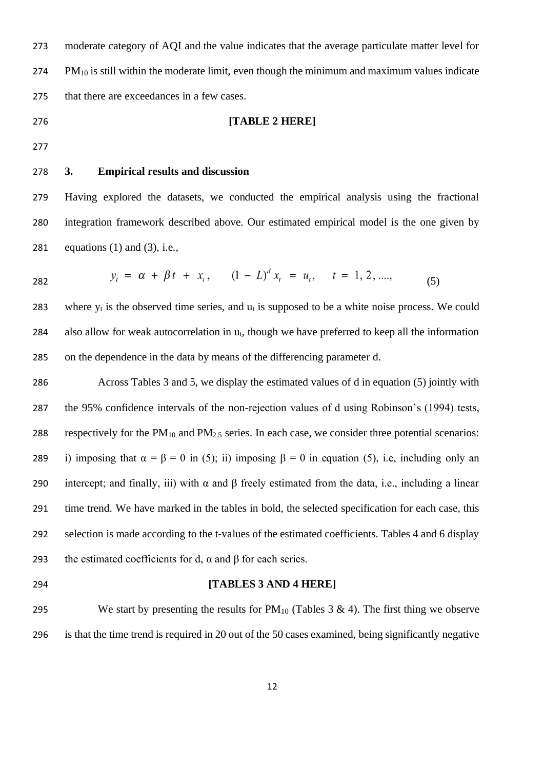moderate category of AQI and the value indicates that the average particulate matter level for PM<sub>10</sub> is still within the moderate limit, even though the minimum and maximum values indicate that there are exceedances in a few cases.

#### **[TABLE 2 HERE]**

- 
- 

#### **3. Empirical results and discussion**

 Having explored the datasets, we conducted the empirical analysis using the fractional integration framework described above. Our estimated empirical model is the one given by 281 equations  $(1)$  and  $(3)$ , i.e.,

$$
y_t = \alpha + \beta t + x_t, \qquad (1 - L)^a x_t = u_t, \qquad t = 1, 2, \dots,
$$
 (5)

283 where  $y_t$  is the observed time series, and  $u_t$  is supposed to be a white noise process. We could 284 also allow for weak autocorrelation in  $u_t$ , though we have preferred to keep all the information on the dependence in the data by means of the differencing parameter d.

 Across Tables 3 and 5, we display the estimated values of d in equation (5) jointly with the 95% confidence intervals of the non-rejection values of d using Robinson's (1994) tests, 288 respectively for the  $PM_{10}$  and  $PM_{2.5}$  series. In each case, we consider three potential scenarios: 289 i) imposing that  $\alpha = \beta = 0$  in (5); ii) imposing  $\beta = 0$  in equation (5), i.e, including only an 290 intercept; and finally, iii) with  $\alpha$  and  $\beta$  freely estimated from the data, i.e., including a linear time trend. We have marked in the tables in bold, the selected specification for each case, this selection is made according to the t-values of the estimated coefficients. Tables 4 and 6 display 293 the estimated coefficients for d,  $\alpha$  and  $\beta$  for each series.

#### **[TABLES 3 AND 4 HERE]**

295 We start by presenting the results for  $PM_{10}$  (Tables 3 & 4). The first thing we observe is that the time trend is required in 20 out of the 50 cases examined, being significantly negative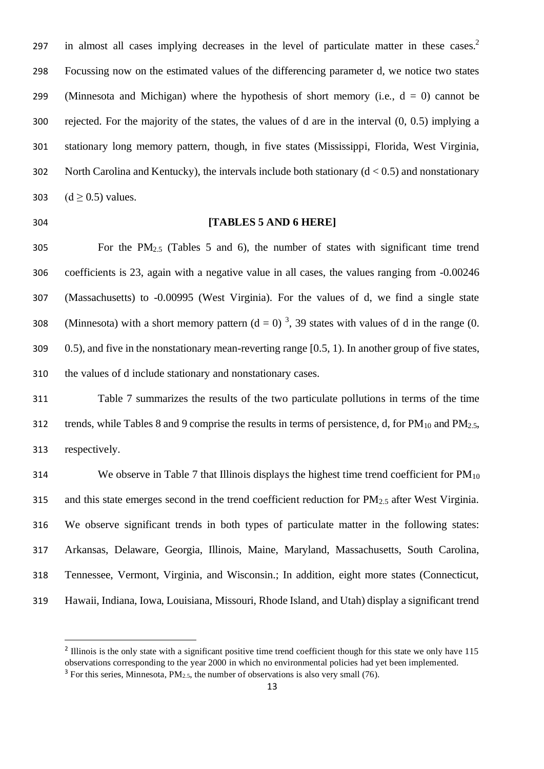in almost all cases implying decreases in the level of particulate matter in these cases.<sup>2</sup> Focussing now on the estimated values of the differencing parameter d, we notice two states 299 (Minnesota and Michigan) where the hypothesis of short memory (i.e.,  $d = 0$ ) cannot be rejected. For the majority of the states, the values of d are in the interval (0, 0.5) implying a stationary long memory pattern, though, in five states (Mississippi, Florida, West Virginia, 302 North Carolina and Kentucky), the intervals include both stationary  $(d < 0.5)$  and nonstationary 303  $(d \ge 0.5)$  values.

#### **[TABLES 5 AND 6 HERE]**

 For the PM2.5 (Tables 5 and 6), the number of states with significant time trend coefficients is 23, again with a negative value in all cases, the values ranging from -0.00246 (Massachusetts) to -0.00995 (West Virginia). For the values of d, we find a single state 308 (Minnesota) with a short memory pattern  $(d = 0)^3$ , 39 states with values of d in the range (0. 0.5), and five in the nonstationary mean-reverting range [0.5, 1). In another group of five states, the values of d include stationary and nonstationary cases.

 Table 7 summarizes the results of the two particulate pollutions in terms of the time 312 trends, while Tables 8 and 9 comprise the results in terms of persistence, d, for  $PM_{10}$  and  $PM_{2.5}$ , respectively.

314 We observe in Table 7 that Illinois displays the highest time trend coefficient for  $PM_{10}$ 315 and this state emerges second in the trend coefficient reduction for  $PM_{2.5}$  after West Virginia. We observe significant trends in both types of particulate matter in the following states: Arkansas, Delaware, Georgia, Illinois, Maine, Maryland, Massachusetts, South Carolina, Tennessee, Vermont, Virginia, and Wisconsin.; In addition, eight more states (Connecticut, Hawaii, Indiana, Iowa, Louisiana, Missouri, Rhode Island, and Utah) display a significant trend

 Illinois is the only state with a significant positive time trend coefficient though for this state we only have 115 observations corresponding to the year 2000 in which no environmental policies had yet been implemented. For this series, Minnesota,  $PM_{2.5}$ , the number of observations is also very small (76).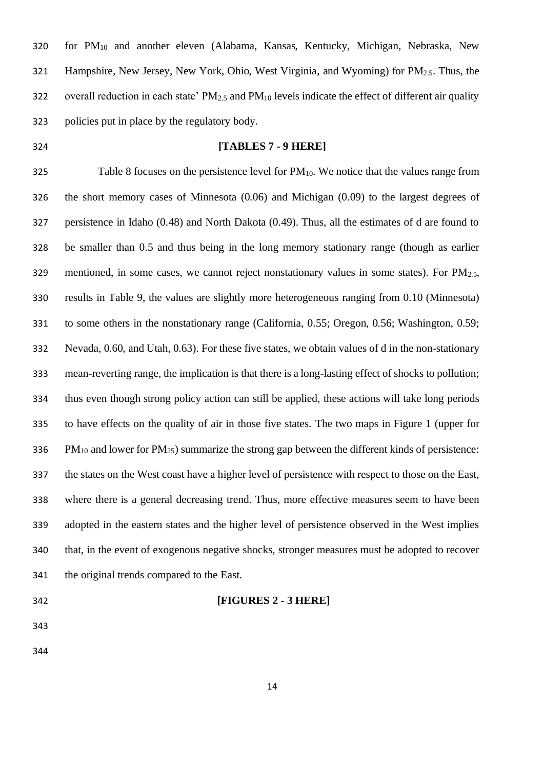for PM<sup>10</sup> and another eleven (Alabama, Kansas, Kentucky, Michigan, Nebraska, New Hampshire, New Jersey, New York, Ohio, West Virginia, and Wyoming) for PM2.5. Thus, the 322 overall reduction in each state'  $PM_{2.5}$  and  $PM_{10}$  levels indicate the effect of different air quality policies put in place by the regulatory body.

#### **[TABLES 7 - 9 HERE]**

325 Table 8 focuses on the persistence level for  $PM_{10}$ . We notice that the values range from the short memory cases of Minnesota (0.06) and Michigan (0.09) to the largest degrees of persistence in Idaho (0.48) and North Dakota (0.49). Thus, all the estimates of d are found to be smaller than 0.5 and thus being in the long memory stationary range (though as earlier 329 mentioned, in some cases, we cannot reject nonstationary values in some states). For  $PM_{2.5}$ , results in Table 9, the values are slightly more heterogeneous ranging from 0.10 (Minnesota) to some others in the nonstationary range (California, 0.55; Oregon, 0.56; Washington, 0.59; Nevada, 0.60, and Utah, 0.63). For these five states, we obtain values of d in the non-stationary mean-reverting range, the implication is that there is a long-lasting effect of shocks to pollution; thus even though strong policy action can still be applied, these actions will take long periods to have effects on the quality of air in those five states. The two maps in Figure 1 (upper for 336 PM<sub>10</sub> and lower for PM<sub>25</sub>) summarize the strong gap between the different kinds of persistence: the states on the West coast have a higher level of persistence with respect to those on the East, where there is a general decreasing trend. Thus, more effective measures seem to have been adopted in the eastern states and the higher level of persistence observed in the West implies that, in the event of exogenous negative shocks, stronger measures must be adopted to recover the original trends compared to the East.

- **[FIGURES 2 - 3 HERE]**
- 
-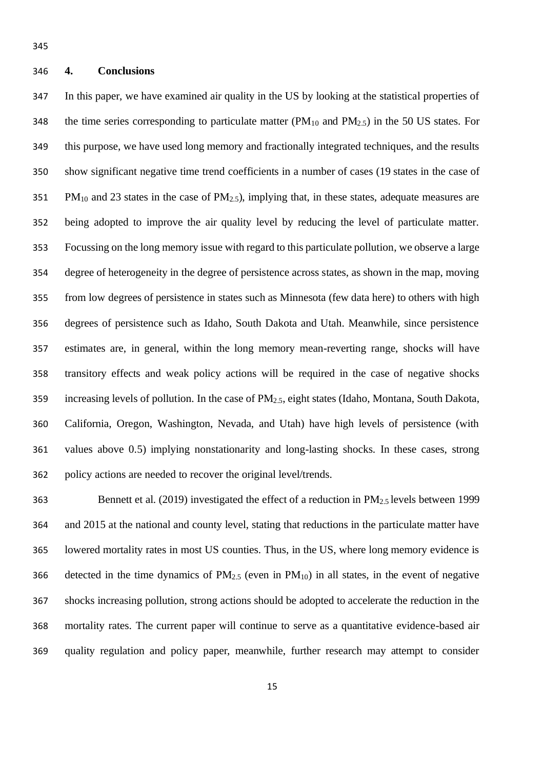#### **4. Conclusions**

 In this paper, we have examined air quality in the US by looking at the statistical properties of 348 the time series corresponding to particulate matter ( $PM_{10}$  and  $PM_{2.5}$ ) in the 50 US states. For this purpose, we have used long memory and fractionally integrated techniques, and the results show significant negative time trend coefficients in a number of cases (19 states in the case of 351 PM<sub>10</sub> and 23 states in the case of PM<sub>2.5</sub>), implying that, in these states, adequate measures are being adopted to improve the air quality level by reducing the level of particulate matter. Focussing on the long memory issue with regard to this particulate pollution, we observe a large degree of heterogeneity in the degree of persistence across states, as shown in the map, moving from low degrees of persistence in states such as Minnesota (few data here) to others with high degrees of persistence such as Idaho, South Dakota and Utah. Meanwhile, since persistence estimates are, in general, within the long memory mean-reverting range, shocks will have transitory effects and weak policy actions will be required in the case of negative shocks increasing levels of pollution. In the case of PM2.5, eight states (Idaho, Montana, South Dakota, California, Oregon, Washington, Nevada, and Utah) have high levels of persistence (with values above 0.5) implying nonstationarity and long-lasting shocks. In these cases, strong policy actions are needed to recover the original level/trends.

363 Bennett et al. (2019) investigated the effect of a reduction in  $PM_{2.5}$  levels between 1999 and 2015 at the national and county level, stating that reductions in the particulate matter have lowered mortality rates in most US counties. Thus, in the US, where long memory evidence is 366 detected in the time dynamics of  $PM_{2.5}$  (even in  $PM_{10}$ ) in all states, in the event of negative shocks increasing pollution, strong actions should be adopted to accelerate the reduction in the mortality rates. The current paper will continue to serve as a quantitative evidence-based air quality regulation and policy paper, meanwhile, further research may attempt to consider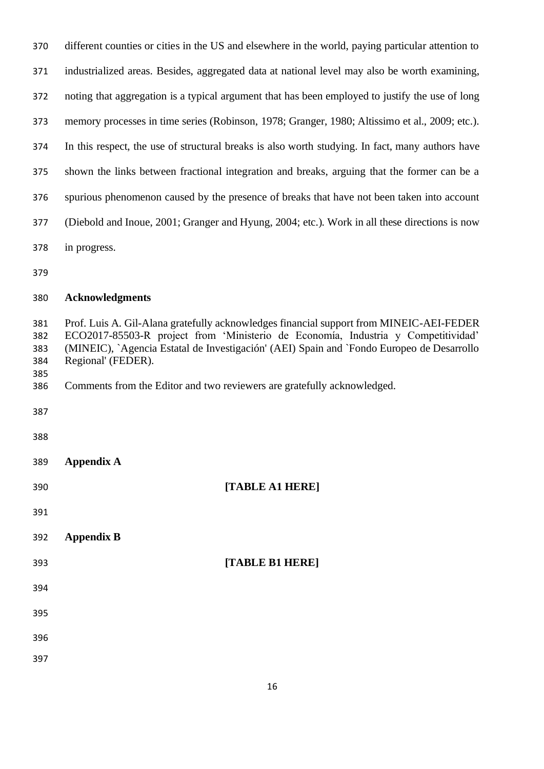| 370                                    | different counties or cities in the US and elsewhere in the world, paying particular attention to                                                                                                                                                                                                                                                                          |
|----------------------------------------|----------------------------------------------------------------------------------------------------------------------------------------------------------------------------------------------------------------------------------------------------------------------------------------------------------------------------------------------------------------------------|
| 371                                    | industrialized areas. Besides, aggregated data at national level may also be worth examining,                                                                                                                                                                                                                                                                              |
| 372                                    | noting that aggregation is a typical argument that has been employed to justify the use of long                                                                                                                                                                                                                                                                            |
| 373                                    | memory processes in time series (Robinson, 1978; Granger, 1980; Altissimo et al., 2009; etc.).                                                                                                                                                                                                                                                                             |
| 374                                    | In this respect, the use of structural breaks is also worth studying. In fact, many authors have                                                                                                                                                                                                                                                                           |
| 375                                    | shown the links between fractional integration and breaks, arguing that the former can be a                                                                                                                                                                                                                                                                                |
| 376                                    | spurious phenomenon caused by the presence of breaks that have not been taken into account                                                                                                                                                                                                                                                                                 |
| 377                                    | (Diebold and Inoue, 2001; Granger and Hyung, 2004; etc.). Work in all these directions is now                                                                                                                                                                                                                                                                              |
| 378                                    | in progress.                                                                                                                                                                                                                                                                                                                                                               |
| 379                                    |                                                                                                                                                                                                                                                                                                                                                                            |
| 380                                    | <b>Acknowledgments</b>                                                                                                                                                                                                                                                                                                                                                     |
| 381<br>382<br>383<br>384<br>385<br>386 | Prof. Luis A. Gil-Alana gratefully acknowledges financial support from MINEIC-AEI-FEDER<br>ECO2017-85503-R project from 'Ministerio de Economía, Industria y Competitividad'<br>(MINEIC), `Agencia Estatal de Investigación' (AEI) Spain and `Fondo Europeo de Desarrollo<br>Regional' (FEDER).<br>Comments from the Editor and two reviewers are gratefully acknowledged. |
| 387                                    |                                                                                                                                                                                                                                                                                                                                                                            |
| 388                                    |                                                                                                                                                                                                                                                                                                                                                                            |
| 389                                    | <b>Appendix A</b>                                                                                                                                                                                                                                                                                                                                                          |
| 390                                    | [TABLE A1 HERE]                                                                                                                                                                                                                                                                                                                                                            |
| 391                                    |                                                                                                                                                                                                                                                                                                                                                                            |
| 392                                    | <b>Appendix B</b>                                                                                                                                                                                                                                                                                                                                                          |
| 393                                    | [TABLE B1 HERE]                                                                                                                                                                                                                                                                                                                                                            |
| 394                                    |                                                                                                                                                                                                                                                                                                                                                                            |
| 395                                    |                                                                                                                                                                                                                                                                                                                                                                            |
| 396                                    |                                                                                                                                                                                                                                                                                                                                                                            |
| 397                                    |                                                                                                                                                                                                                                                                                                                                                                            |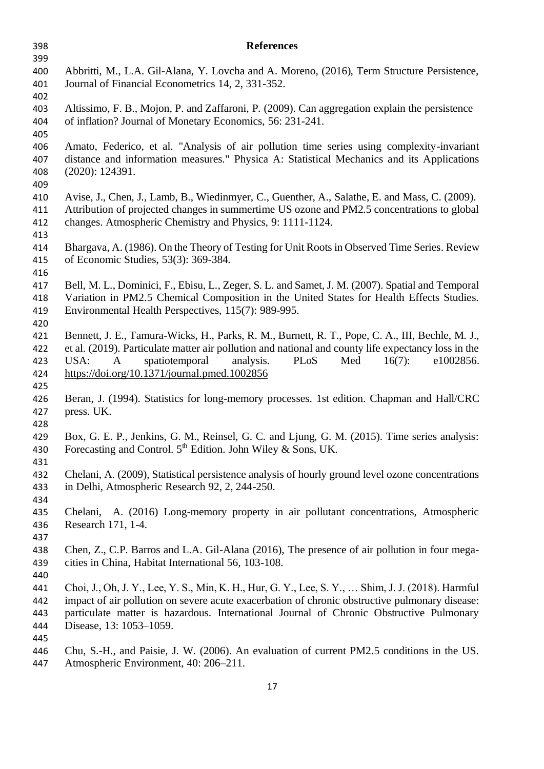| 398        | <b>References</b>                                                                                   |  |  |  |  |
|------------|-----------------------------------------------------------------------------------------------------|--|--|--|--|
| 399        |                                                                                                     |  |  |  |  |
| 400        | Abbritti, M., L.A. Gil-Alana, Y. Lovcha and A. Moreno, (2016), Term Structure Persistence,          |  |  |  |  |
| 401        | Journal of Financial Econometrics 14, 2, 331-352.                                                   |  |  |  |  |
| 402        |                                                                                                     |  |  |  |  |
| 403        | Altissimo, F. B., Mojon, P. and Zaffaroni, P. (2009). Can aggregation explain the persistence       |  |  |  |  |
| 404        | of inflation? Journal of Monetary Economics, 56: 231-241.                                           |  |  |  |  |
| 405        |                                                                                                     |  |  |  |  |
| 406        | Amato, Federico, et al. "Analysis of air pollution time series using complexity-invariant           |  |  |  |  |
| 407        | distance and information measures." Physica A: Statistical Mechanics and its Applications           |  |  |  |  |
| 408        | (2020): 124391.                                                                                     |  |  |  |  |
| 409        |                                                                                                     |  |  |  |  |
| 410        | Avise, J., Chen, J., Lamb, B., Wiedinmyer, C., Guenther, A., Salathe, E. and Mass, C. (2009).       |  |  |  |  |
| 411        | Attribution of projected changes in summertime US ozone and PM2.5 concentrations to global          |  |  |  |  |
| 412        | changes. Atmospheric Chemistry and Physics, 9: 1111-1124.                                           |  |  |  |  |
| 413        |                                                                                                     |  |  |  |  |
| 414        | Bhargava, A. (1986). On the Theory of Testing for Unit Roots in Observed Time Series. Review        |  |  |  |  |
| 415        | of Economic Studies, 53(3): 369-384.                                                                |  |  |  |  |
| 416        |                                                                                                     |  |  |  |  |
| 417        | Bell, M. L., Dominici, F., Ebisu, L., Zeger, S. L. and Samet, J. M. (2007). Spatial and Temporal    |  |  |  |  |
| 418        | Variation in PM2.5 Chemical Composition in the United States for Health Effects Studies.            |  |  |  |  |
| 419        | Environmental Health Perspectives, 115(7): 989-995.                                                 |  |  |  |  |
| 420        |                                                                                                     |  |  |  |  |
| 421        | Bennett, J. E., Tamura-Wicks, H., Parks, R. M., Burnett, R. T., Pope, C. A., III, Bechle, M. J.,    |  |  |  |  |
| 422        | et al. (2019). Particulate matter air pollution and national and county life expectancy loss in the |  |  |  |  |
| 423        | USA:<br>spatiotemporal<br>analysis.<br>PLoS<br>e1002856.<br>A<br>Med<br>$16(7)$ :                   |  |  |  |  |
| 424        | https://doi.org/10.1371/journal.pmed.1002856                                                        |  |  |  |  |
| 425<br>426 | Beran, J. (1994). Statistics for long-memory processes. 1st edition. Chapman and Hall/CRC           |  |  |  |  |
| 427        | press. UK.                                                                                          |  |  |  |  |
| 428        |                                                                                                     |  |  |  |  |
| 429        | Box, G. E. P., Jenkins, G. M., Reinsel, G. C. and Ljung, G. M. (2015). Time series analysis:        |  |  |  |  |
| 430        | Forecasting and Control. $5th$ Edition. John Wiley & Sons, UK.                                      |  |  |  |  |
| 431        |                                                                                                     |  |  |  |  |
| 432        | Chelani, A. (2009), Statistical persistence analysis of hourly ground level ozone concentrations    |  |  |  |  |
| 433        | in Delhi, Atmospheric Research 92, 2, 244-250.                                                      |  |  |  |  |
| 434        |                                                                                                     |  |  |  |  |
| 435        | Chelani, A. (2016) Long-memory property in air pollutant concentrations, Atmospheric                |  |  |  |  |
| 436        | Research 171, 1-4.                                                                                  |  |  |  |  |
| 437        |                                                                                                     |  |  |  |  |
| 438        | Chen, Z., C.P. Barros and L.A. Gil-Alana (2016), The presence of air pollution in four mega-        |  |  |  |  |
| 439        | cities in China, Habitat International 56, 103-108.                                                 |  |  |  |  |
| 440        |                                                                                                     |  |  |  |  |
| 441        | Choi, J., Oh, J. Y., Lee, Y. S., Min, K. H., Hur, G. Y., Lee, S. Y.,  Shim, J. J. (2018). Harmful   |  |  |  |  |
| 442        | impact of air pollution on severe acute exacerbation of chronic obstructive pulmonary disease:      |  |  |  |  |
| 443        | particulate matter is hazardous. International Journal of Chronic Obstructive Pulmonary             |  |  |  |  |
| 444        | Disease, 13: 1053-1059.                                                                             |  |  |  |  |
| 445        |                                                                                                     |  |  |  |  |
| 446        | Chu, S.-H., and Paisie, J. W. (2006). An evaluation of current PM2.5 conditions in the US.          |  |  |  |  |
| 447        | Atmospheric Environment, 40: 206-211.                                                               |  |  |  |  |
|            |                                                                                                     |  |  |  |  |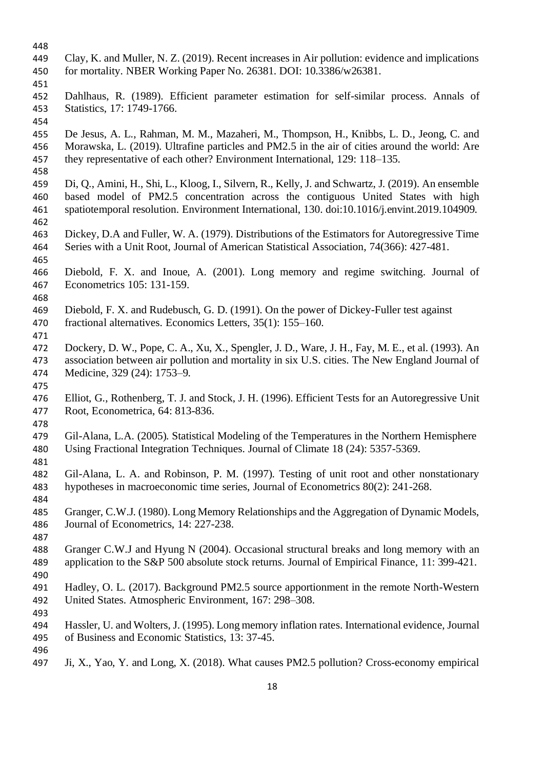- 
- Clay, K. and Muller, N. Z. (2019). Recent increases in Air pollution: evidence and implications for mortality. NBER Working Paper No. 26381. DOI: 10.3386/w26381.
- 451<br>452
- Dahlhaus, R. (1989). Efficient parameter estimation for self-similar process. Annals of Statistics, 17: 1749-1766.
- 

 De Jesus, A. L., Rahman, M. M., Mazaheri, M., Thompson, H., Knibbs, L. D., Jeong, C. and Morawska, L. (2019). Ultrafine particles and PM2.5 in the air of cities around the world: Are they representative of each other? Environment International, 129: 118–135.

- Di, Q., Amini, H., Shi, L., Kloog, I., Silvern, R., Kelly, J. and Schwartz, J. (2019). An ensemble based model of PM2.5 concentration across the contiguous United States with high spatiotemporal resolution. Environment International, 130. doi:10.1016/j.envint.2019.104909.
- Dickey, D.A and Fuller, W. A. (1979). Distributions of the Estimators for Autoregressive Time Series with a Unit Root, Journal of American Statistical Association, 74(366): 427-481.
- 
- Diebold, F. X. and Inoue, A. (2001). Long memory and regime switching. Journal of Econometrics 105: 131-159.
- 
- Diebold, F. X. and Rudebusch, G. D. (1991). On the power of Dickey-Fuller test against
- fractional alternatives. Economics Letters, 35(1): 155–160.
- 
- Dockery, D. W., Pope, C. A., Xu, X., Spengler, J. D., Ware, J. H., Fay, M. E., et al. (1993). An association between air pollution and mortality in six U.S. cities. The New England Journal of Medicine, 329 (24): 1753–9.
- 
- Elliot, G., Rothenberg, T. J. and Stock, J. H. (1996). Efficient Tests for an Autoregressive Unit Root, Econometrica, 64: 813-836.
- Gil-Alana, L.A. (2005). Statistical Modeling of the Temperatures in the Northern Hemisphere Using Fractional Integration Techniques. Journal of Climate 18 (24): 5357-5369.
- Gil-Alana, L. A. and Robinson, P. M. (1997). Testing of unit root and other nonstationary hypotheses in macroeconomic time series, Journal of Econometrics 80(2): 241-268.
- 

- Granger, C.W.J. (1980). Long Memory Relationships and the Aggregation of Dynamic Models, Journal of Econometrics, 14: 227-238.
- 
- Granger C.W.J and Hyung N (2004). Occasional structural breaks and long memory with an application to the S&P 500 absolute stock returns. Journal of Empirical Finance, 11: 399-421.
- Hadley, O. L. (2017). Background PM2.5 source apportionment in the remote North-Western United States. Atmospheric Environment, 167: 298–308.
- 
- Hassler, U. and Wolters, J. (1995). Long memory inflation rates. International evidence, Journal of Business and Economic Statistics, 13: 37-45.
- Ji, X., Yao, Y. and Long, X. (2018). What causes PM2.5 pollution? Cross-economy empirical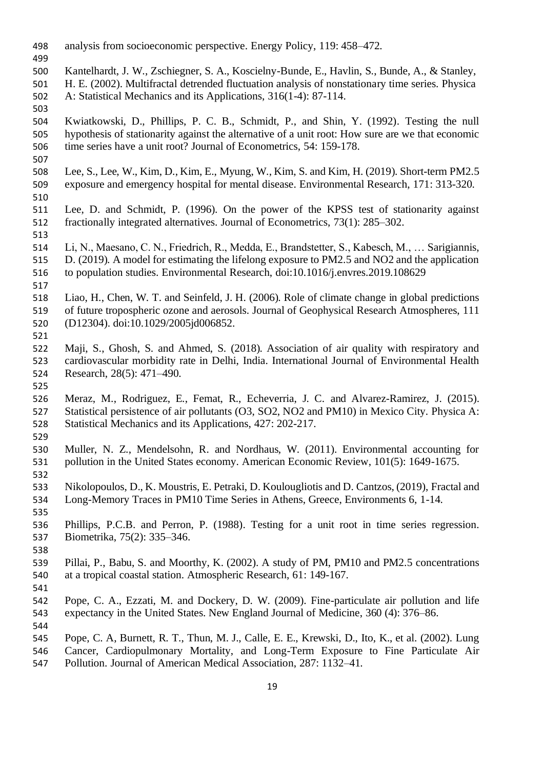- analysis from socioeconomic perspective. Energy Policy, 119: 458–472.
- 
- Kantelhardt, J. W., Zschiegner, S. A., Koscielny-Bunde, E., Havlin, S., Bunde, A., & Stanley, H. E. (2002). Multifractal detrended fluctuation analysis of nonstationary time series. Physica A: Statistical Mechanics and its Applications, 316(1-4): 87-114.
- Kwiatkowski, D., Phillips, P. C. B., Schmidt, P., and Shin, Y. (1992). Testing the null hypothesis of stationarity against the alternative of a unit root: How sure are we that economic time series have a unit root? Journal of Econometrics, 54: 159-178.
- Lee, S., Lee, W., Kim, D., Kim, E., Myung, W., Kim, S. and Kim, H. (2019). Short-term PM2.5 exposure and emergency hospital for mental disease. Environmental Research, 171: 313-320.
- 
- Lee, D. and Schmidt, P. (1996). On the power of the KPSS test of stationarity against fractionally integrated alternatives. Journal of Econometrics, 73(1): 285–302.
- Li, N., Maesano, C. N., Friedrich, R., Medda, E., Brandstetter, S., Kabesch, M., … Sarigiannis, D. (2019). A model for estimating the lifelong exposure to PM2.5 and NO2 and the application to population studies. Environmental Research, doi:10.1016/j.envres.2019.108629
- Liao, H., Chen, W. T. and Seinfeld, J. H. (2006). Role of climate change in global predictions of future tropospheric ozone and aerosols. Journal of Geophysical Research Atmospheres, 111 (D12304). doi:10.1029/2005jd006852.
- 

- Maji, S., Ghosh, S. and Ahmed, S. (2018). Association of air quality with respiratory and cardiovascular morbidity rate in Delhi, India. International Journal of Environmental Health Research, 28(5): 471–490.
- Meraz, M., Rodriguez, E., Femat, R., Echeverria, J. C. and Alvarez-Ramirez, J. (2015). Statistical persistence of air pollutants (O3, SO2, NO2 and PM10) in Mexico City. Physica A: Statistical Mechanics and its Applications, 427: 202-217.
- 

- Muller, N. Z., Mendelsohn, R. and Nordhaus, W. (2011). Environmental accounting for pollution in the United States economy. American Economic Review, 101(5): 1649-1675.
- Nikolopoulos, D., K. Moustris, E. Petraki, D. Koulougliotis and D. Cantzos, (2019), Fractal and Long-Memory Traces in PM10 Time Series in Athens, Greece, Environments 6, 1-14.
- Phillips, P.C.B. and Perron, P. (1988). Testing for a unit root in time series regression. Biometrika, 75(2): 335–346.
- Pillai, P., Babu, S. and Moorthy, K. (2002). A study of PM, PM10 and PM2.5 concentrations at a tropical coastal station. Atmospheric Research, 61: 149-167.
- 
- Pope, C. A., Ezzati, M. and Dockery, D. W. (2009). Fine-particulate air pollution and life expectancy in the United States. New England Journal of Medicine, 360 (4): 376–86.
- 
- Pope, C. A, Burnett, R. T., Thun, M. J., Calle, E. E., Krewski, D., Ito, K., et al. (2002). Lung Cancer, Cardiopulmonary Mortality, and Long-Term Exposure to Fine Particulate Air
- Pollution. Journal of American Medical Association, 287: 1132–41.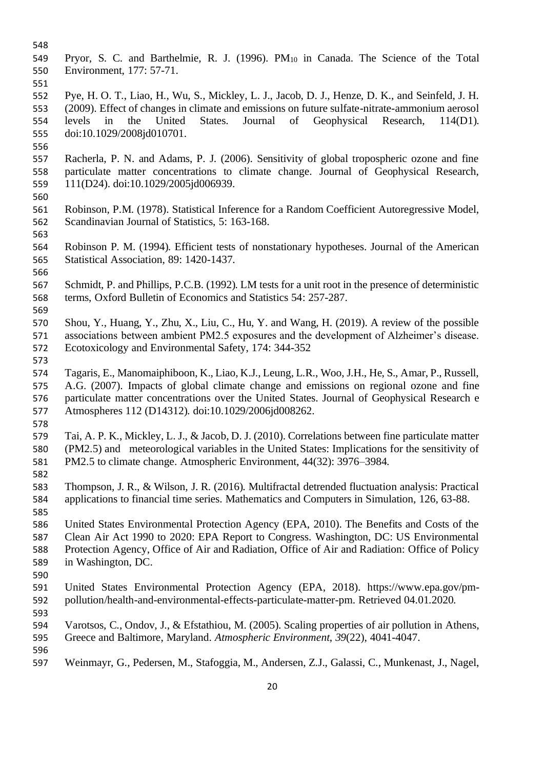- 
- Pryor, S. C. and Barthelmie, R. J. (1996). PM<sup>10</sup> in Canada. The Science of the Total Environment, 177: 57-71.
- 

 Pye, H. O. T., Liao, H., Wu, S., Mickley, L. J., Jacob, D. J., Henze, D. K., and Seinfeld, J. H. (2009). Effect of changes in climate and emissions on future sulfate-nitrate-ammonium aerosol levels in the United States. Journal of Geophysical Research, 114(D1). doi:10.1029/2008jd010701.

- 
- Racherla, P. N. and Adams, P. J. (2006). Sensitivity of global tropospheric ozone and fine particulate matter concentrations to climate change. Journal of Geophysical Research, 111(D24). doi:10.1029/2005jd006939.
- 
- Robinson, P.M. (1978). Statistical Inference for a Random Coefficient Autoregressive Model, Scandinavian Journal of Statistics, 5: 163-168.
- Robinson P. M. (1994). Efficient tests of nonstationary hypotheses. Journal of the American Statistical Association, 89: 1420-1437.
- 
- Schmidt, P. and Phillips, P.C.B. (1992). LM tests for a unit root in the presence of deterministic terms, Oxford Bulletin of Economics and Statistics 54: 257-287.
- Shou, Y., Huang, Y., Zhu, X., Liu, C., Hu, Y. and Wang, H. (2019). A review of the possible associations between ambient PM2.5 exposures and the development of Alzheimer's disease. Ecotoxicology and Environmental Safety, 174: 344-352
- 
- Tagaris, E., Manomaiphiboon, K., Liao, K.J., Leung, L.R., Woo, J.H., He, S., Amar, P., Russell, A.G. (2007). Impacts of global climate change and emissions on regional ozone and fine particulate matter concentrations over the United States. Journal of Geophysical Research e Atmospheres 112 (D14312). doi:10.1029/2006jd008262.
- 
- Tai, A. P. K., Mickley, L. J., & Jacob, D. J. (2010). Correlations between fine particulate matter (PM2.5) and meteorological variables in the United States: Implications for the sensitivity of PM2.5 to climate change. Atmospheric Environment, 44(32): 3976–3984.
- 
- Thompson, J. R., & Wilson, J. R. (2016). Multifractal detrended fluctuation analysis: Practical applications to financial time series. Mathematics and Computers in Simulation, 126, 63-88.
- United States Environmental Protection Agency (EPA, 2010). The Benefits and Costs of the Clean Air Act 1990 to 2020: EPA Report to Congress. Washington, DC: US Environmental Protection Agency, Office of Air and Radiation, Office of Air and Radiation: Office of Policy in Washington, DC.
- 
- United States Environmental Protection Agency (EPA, 2018). https://www.epa.gov/pm-pollution/health-and-environmental-effects-particulate-matter-pm. Retrieved 04.01.2020.
- 
- Varotsos, C., Ondov, J., & Efstathiou, M. (2005). Scaling properties of air pollution in Athens, Greece and Baltimore, Maryland. *Atmospheric Environment*, *39*(22), 4041-4047.
- Weinmayr, G., Pedersen, M., Stafoggia, M., Andersen, Z.J., Galassi, C., Munkenast, J., Nagel,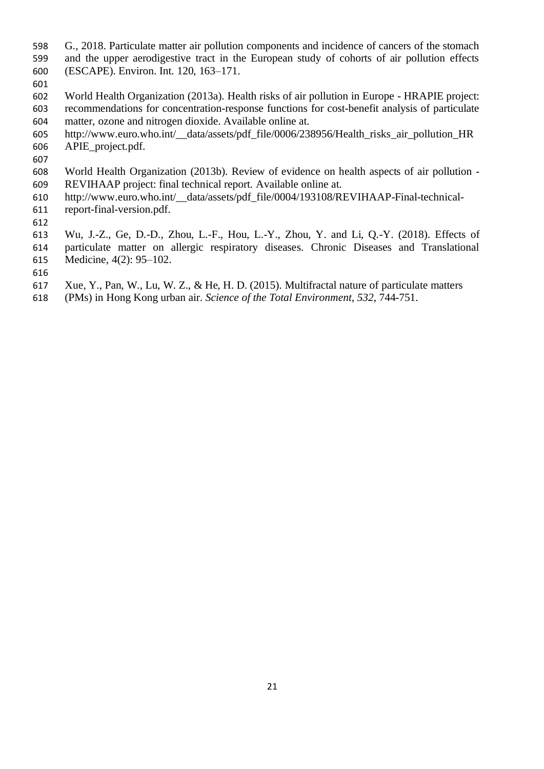- G., 2018. Particulate matter air pollution components and incidence of cancers of the stomach and the upper aerodigestive tract in the European study of cohorts of air pollution effects
- (ESCAPE). Environ. Int. 120, 163–171.
- 601<br>602 World Health Organization (2013a). Health risks of air pollution in Europe - HRAPIE project: recommendations for concentration-response functions for cost-benefit analysis of particulate matter, ozone and nitrogen dioxide. Available online at.
- http://www.euro.who.int/\_\_data/assets/pdf\_file/0006/238956/Health\_risks\_air\_pollution\_HR APIE\_project.pdf.
- 
- World Health Organization (2013b). Review of evidence on health aspects of air pollution REVIHAAP project: final technical report. Available online at.
- http://www.euro.who.int/\_\_data/assets/pdf\_file/0004/193108/REVIHAAP-Final-technical-
- report-final-version.pdf.
- 
- Wu, J.-Z., Ge, D.-D., Zhou, L.-F., Hou, L.-Y., Zhou, Y. and Li, Q.-Y. (2018). Effects of
- particulate matter on allergic respiratory diseases. Chronic Diseases and Translational Medicine, 4(2): 95–102.
- 
- Xue, Y., Pan, W., Lu, W. Z., & He, H. D. (2015). Multifractal nature of particulate matters
- (PMs) in Hong Kong urban air. *Science of the Total Environment*, *532*, 744-751.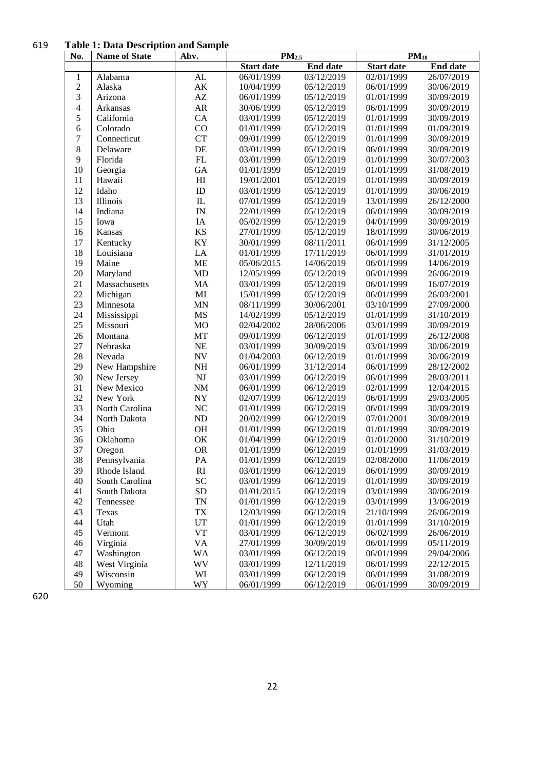#### **Table 1: Data Description and Sample**

| No.              | <b>Name of State</b> | Abv.                       | PM <sub>2.5</sub> |                 | $PM_{10}$         |                 |
|------------------|----------------------|----------------------------|-------------------|-----------------|-------------------|-----------------|
|                  |                      |                            | <b>Start date</b> | <b>End date</b> | <b>Start date</b> | <b>End date</b> |
| $\mathbf{1}$     | Alabama              | AL                         | 06/01/1999        | 03/12/2019      | 02/01/1999        | 26/07/2019      |
| $\overline{c}$   | Alaska               | AK                         | 10/04/1999        | 05/12/2019      | 06/01/1999        | 30/06/2019      |
| 3                | Arizona              | $\mathbf{A}\mathbf{Z}$     | 06/01/1999        | 05/12/2019      | 01/01/1999        | 30/09/2019      |
| $\overline{4}$   | Arkansas             | AR                         | 30/06/1999        | 05/12/2019      | 06/01/1999        | 30/09/2019      |
| 5                | California           | CA                         | 03/01/1999        | 05/12/2019      | 01/01/1999        | 30/09/2019      |
| 6                | Colorado             | CO                         | 01/01/1999        | 05/12/2019      | 01/01/1999        | 01/09/2019      |
| $\boldsymbol{7}$ | Connecticut          | <b>CT</b>                  | 09/01/1999        | 05/12/2019      | 01/01/1999        | 30/09/2019      |
| 8                | Delaware             | DE                         | 03/01/1999        | 05/12/2019      | 06/01/1999        | 30/09/2019      |
| 9                | Florida              | ${\rm FL}$                 | 03/01/1999        | 05/12/2019      | 01/01/1999        | 30/07/2003      |
| 10               | Georgia              | GA                         | 01/01/1999        | 05/12/2019      | 01/01/1999        | 31/08/2019      |
| 11               | Hawaii               | $\mathop{\rm HI}\nolimits$ | 19/01/2001        | 05/12/2019      | 01/01/1999        | 30/09/2019      |
| 12               | Idaho                | $\rm ID$                   | 03/01/1999        | 05/12/2019      | 01/01/1999        | 30/06/2019      |
| 13               | Illinois             | ${\rm I\!L}$               | 07/01/1999        | 05/12/2019      | 13/01/1999        | 26/12/2000      |
| 14               | Indiana              | IN                         | 22/01/1999        | 05/12/2019      | 06/01/1999        | 30/09/2019      |
| 15               | Iowa                 | IA                         | 05/02/1999        | 05/12/2019      | 04/01/1999        | 30/09/2019      |
| 16               | Kansas               | <b>KS</b>                  | 27/01/1999        | 05/12/2019      | 18/01/1999        | 30/06/2019      |
| 17               | Kentucky             | KY                         | 30/01/1999        | 08/11/2011      | 06/01/1999        | 31/12/2005      |
| 18               | Louisiana            | LA                         | 01/01/1999        | 17/11/2019      | 06/01/1999        | 31/01/2019      |
| 19               | Maine                | <b>ME</b>                  | 05/06/2015        | 14/06/2019      | 06/01/1999        | 14/06/2019      |
| 20               | Maryland             | MD                         | 12/05/1999        | 05/12/2019      | 06/01/1999        | 26/06/2019      |
| 21               | Massachusetts        | MA                         | 03/01/1999        | 05/12/2019      | 06/01/1999        | 16/07/2019      |
| 22               | Michigan             | MI                         | 15/01/1999        | 05/12/2019      | 06/01/1999        | 26/03/2001      |
| 23               | Minnesota            | <b>MN</b>                  | 08/11/1999        | 30/06/2001      | 03/10/1999        | 27/09/2000      |
| 24               | Mississippi          | $\rm MS$                   | 14/02/1999        | 05/12/2019      | 01/01/1999        | 31/10/2019      |
| 25               | Missouri             | <b>MO</b>                  | 02/04/2002        | 28/06/2006      | 03/01/1999        | 30/09/2019      |
| 26               | Montana              | MT                         | 09/01/1999        | 06/12/2019      | 01/01/1999        | 26/12/2008      |
| 27               | Nebraska             | <b>NE</b>                  | 03/01/1999        | 30/09/2019      | 03/01/1999        | 30/06/2019      |
| 28               | Nevada               | $\ensuremath{\text{NV}}$   | 01/04/2003        | 06/12/2019      | 01/01/1999        | 30/06/2019      |
| 29               | New Hampshire        | $\rm NH$                   | 06/01/1999        | 31/12/2014      | 06/01/1999        | 28/12/2002      |
| 30               | New Jersey           | $\mathbf{N}\mathbf{J}$     | 03/01/1999        | 06/12/2019      | 06/01/1999        | 28/03/2011      |
| 31               | New Mexico           | $\rm{NM}$                  | 06/01/1999        | 06/12/2019      | 02/01/1999        | 12/04/2015      |
| 32               | New York             | ${\rm NY}$                 | 02/07/1999        | 06/12/2019      | 06/01/1999        | 29/03/2005      |
| 33               | North Carolina       | NC                         | 01/01/1999        | 06/12/2019      | 06/01/1999        | 30/09/2019      |
| 34               | North Dakota         | ND                         | 20/02/1999        | 06/12/2019      | 07/01/2001        | 30/09/2019      |
| 35               | Ohio                 | <b>OH</b>                  | 01/01/1999        | 06/12/2019      | 01/01/1999        | 30/09/2019      |
| 36               | Oklahoma             | OK                         | 01/04/1999        | 06/12/2019      | 01/01/2000        | 31/10/2019      |
| 37               | Oregon               | <b>OR</b>                  | 01/01/1999        | 06/12/2019      | 01/01/1999        | 31/03/2019      |
| 38               | Pennsylvania         | PА                         | 01/01/1999        | 06/12/2019      | 02/08/2000        | 11/06/2019      |
| 39               | Rhode Island         | RI                         | 03/01/1999        | 06/12/2019      | 06/01/1999        | 30/09/2019      |
| 40               | South Carolina       | <b>SC</b>                  | 03/01/1999        | 06/12/2019      | 01/01/1999        | 30/09/2019      |
| 41               | South Dakota         | <b>SD</b>                  | 01/01/2015        | 06/12/2019      | 03/01/1999        | 30/06/2019      |
| 42               | Tennessee            | <b>TN</b>                  | 01/01/1999        | 06/12/2019      | 03/01/1999        | 13/06/2019      |
| 43               | Texas                | <b>TX</b>                  | 12/03/1999        | 06/12/2019      | 21/10/1999        | 26/06/2019      |
| 44               | Utah                 | <b>UT</b>                  | 01/01/1999        | 06/12/2019      | 01/01/1999        | 31/10/2019      |
| 45               | Vermont              | <b>VT</b>                  | 03/01/1999        | 06/12/2019      | 06/02/1999        | 26/06/2019      |
| 46               | Virginia             | <b>VA</b>                  | 27/01/1999        | 30/09/2019      | 06/01/1999        | 05/11/2019      |
| 47               | Washington           | WA                         | 03/01/1999        | 06/12/2019      | 06/01/1999        | 29/04/2006      |
| 48               | West Virginia        | WV                         | 03/01/1999        | 12/11/2019      | 06/01/1999        | 22/12/2015      |
| 49               | Wisconsin            | WI                         | 03/01/1999        | 06/12/2019      | 06/01/1999        | 31/08/2019      |
| 50               | Wyoming              | WY                         | 06/01/1999        | 06/12/2019      | 06/01/1999        | 30/09/2019      |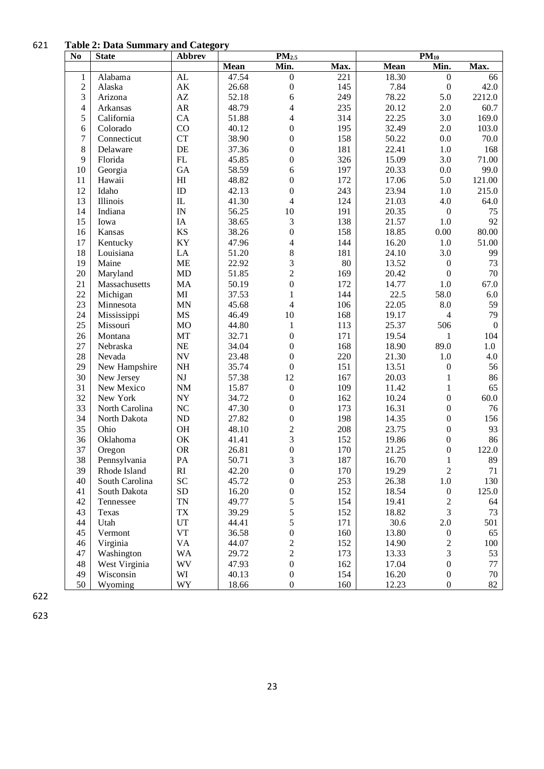**Table 2: Data Summary and Category**

| N <sub>0</sub>   | <b>State</b>   | <b>Abbrev</b>              |       | $PM_{2.5}$              |      |       | $PM_{10}$          |                  |
|------------------|----------------|----------------------------|-------|-------------------------|------|-------|--------------------|------------------|
|                  |                |                            | Mean  | Min.                    | Max. | Mean  | Min.               | Max.             |
| $\mathbf{1}$     | Alabama        | AL                         | 47.54 | $\boldsymbol{0}$        | 221  | 18.30 | $\boldsymbol{0}$   | 66               |
| $\overline{2}$   | Alaska         | $\mathbf{A}\mathbf{K}$     | 26.68 | $\boldsymbol{0}$        | 145  | 7.84  | $\boldsymbol{0}$   | 42.0             |
| 3                | Arizona        | $\mathbf{A}\mathbf{Z}$     | 52.18 | 6                       | 249  | 78.22 | 5.0                | 2212.0           |
| $\overline{4}$   | Arkansas       | AR                         | 48.79 | 4                       | 235  | 20.12 | 2.0                | 60.7             |
| 5                | California     | CA                         | 51.88 | 4                       | 314  | 22.25 | 3.0                | 169.0            |
| 6                | Colorado       | CO                         | 40.12 | 0                       | 195  | 32.49 | 2.0                | 103.0            |
| $\boldsymbol{7}$ | Connecticut    | <b>CT</b>                  | 38.90 | 0                       | 158  | 50.22 | 0.0                | 70.0             |
| 8                | Delaware       | DE                         | 37.36 | $\mathbf{0}$            | 181  | 22.41 | 1.0                | 168              |
| 9                | Florida        | ${\rm FL}$                 | 45.85 | $\boldsymbol{0}$        | 326  | 15.09 | 3.0                | 71.00            |
| 10               | Georgia        | GA                         | 58.59 | 6                       | 197  | 20.33 | 0.0                | 99.0             |
| 11               | Hawaii         | $\mathop{\rm HI}\nolimits$ | 48.82 | $\boldsymbol{0}$        | 172  | 17.06 | 5.0                | 121.00           |
| 12               | Idaho          | ID                         | 42.13 | $\boldsymbol{0}$        | 243  | 23.94 | 1.0                | 215.0            |
| 13               | Illinois       | ${\rm IL}$                 | 41.30 | 4                       | 124  | 21.03 | 4.0                | 64.0             |
| 14               | Indiana        | IN                         | 56.25 | 10                      | 191  | 20.35 | $\boldsymbol{0}$   | 75               |
| 15               | Iowa           | IA                         | 38.65 | 3                       | 138  | 21.57 | 1.0                | 92               |
| 16               | Kansas         | KS                         | 38.26 | $\boldsymbol{0}$        | 158  | 18.85 | 0.00               | 80.00            |
| 17               | Kentucky       | KY                         | 47.96 | 4                       | 144  | 16.20 | 1.0                | 51.00            |
| 18               | Louisiana      | LA                         | 51.20 | 8                       | 181  | 24.10 | 3.0                | 99               |
| 19               | Maine          | <b>ME</b>                  | 22.92 | 3                       | 80   | 13.52 | $\boldsymbol{0}$   | 73               |
| 20               | Maryland       | MD                         | 51.85 | $\overline{c}$          | 169  | 20.42 | $\boldsymbol{0}$   | 70               |
| 21               | Massachusetts  | MA                         | 50.19 | $\boldsymbol{0}$        | 172  | 14.77 | 1.0                | 67.0             |
| 22               | Michigan       | $\mathbf{M}\mathbf{I}$     | 37.53 | $\mathbf{1}$            | 144  | 22.5  | 58.0               | 6.0              |
| 23               | Minnesota      | <b>MN</b>                  | 45.68 | 4                       | 106  | 22.05 | $\boldsymbol{8.0}$ | 59               |
| 24               | Mississippi    | <b>MS</b>                  | 46.49 | 10                      | 168  | 19.17 | $\overline{4}$     | 79               |
| 25               | Missouri       | <b>MO</b>                  | 44.80 | $\mathbf{1}$            | 113  | 25.37 | 506                | $\boldsymbol{0}$ |
| 26               | Montana        | MT                         | 32.71 | $\boldsymbol{0}$        | 171  | 19.54 | 1                  | 104              |
| 27               | Nebraska       | <b>NE</b>                  | 34.04 | $\boldsymbol{0}$        | 168  | 18.90 | 89.0               | 1.0              |
| 28               | Nevada         | $\ensuremath{\text{NV}}$   | 23.48 | $\boldsymbol{0}$        | 220  | 21.30 | 1.0                | 4.0              |
| 29               | New Hampshire  | $\rm NH$                   | 35.74 | $\boldsymbol{0}$        | 151  | 13.51 | $\boldsymbol{0}$   | 56               |
| 30               | New Jersey     | $\mathbf{N}\mathbf{J}$     | 57.38 | 12                      | 167  | 20.03 | $\,1\,$            | 86               |
| 31               | New Mexico     | $\rm{NM}$                  | 15.87 | $\boldsymbol{0}$        | 109  | 11.42 | $\mathbf{1}$       | 65               |
| 32               | New York       | <b>NY</b>                  | 34.72 | $\boldsymbol{0}$        | 162  | 10.24 | $\boldsymbol{0}$   | 60.0             |
| 33               | North Carolina | NC                         | 47.30 | $\boldsymbol{0}$        | 173  | 16.31 | $\boldsymbol{0}$   | 76               |
| 34               | North Dakota   | ND                         | 27.82 | $\boldsymbol{0}$        | 198  | 14.35 | $\boldsymbol{0}$   | 156              |
| 35               | Ohio           | <b>OH</b>                  | 48.10 | $\overline{c}$          | 208  | 23.75 | $\boldsymbol{0}$   | 93               |
| 36               | Oklahoma       | OK                         | 41.41 | 3                       | 152  | 19.86 | $\boldsymbol{0}$   | 86               |
| 37               | Oregon         | <b>OR</b>                  | 26.81 | $\boldsymbol{0}$        | 170  | 21.25 | $\boldsymbol{0}$   | 122.0            |
| 38               | Pennsylvania   | PA                         | 50.71 | 3                       | 187  | 16.70 | $\,1$              | $89\,$           |
| 39               | Rhode Island   | RI                         | 42.20 | $\boldsymbol{0}$        | 170  | 19.29 | $\overline{2}$     | 71               |
| 40               | South Carolina | <b>SC</b>                  | 45.72 | $\boldsymbol{0}$        | 253  | 26.38 | $1.0\,$            | 130              |
| 41               | South Dakota   | <b>SD</b>                  | 16.20 | $\boldsymbol{0}$        | 152  | 18.54 | $\boldsymbol{0}$   | 125.0            |
| 42               | Tennessee      | <b>TN</b>                  | 49.77 | 5                       | 154  | 19.41 | $\boldsymbol{2}$   | 64               |
| 43               | Texas          | <b>TX</b>                  | 39.29 | 5                       | 152  | 18.82 | 3                  | 73               |
| 44               | Utah           | UT                         | 44.41 | 5                       | 171  | 30.6  | $2.0\,$            | 501              |
| 45               | Vermont        | <b>VT</b>                  | 36.58 | $\boldsymbol{0}$        | 160  | 13.80 | $\boldsymbol{0}$   | 65               |
| 46               | Virginia       | <b>VA</b>                  | 44.07 | $\overline{\mathbf{c}}$ | 152  | 14.90 | $\boldsymbol{2}$   | 100              |
| 47               | Washington     | <b>WA</b>                  | 29.72 | $\overline{c}$          | 173  | 13.33 | 3                  | 53               |
| 48               | West Virginia  | <b>WV</b>                  | 47.93 | $\boldsymbol{0}$        | 162  | 17.04 | $\boldsymbol{0}$   | 77               |
| 49               | Wisconsin      | WI                         | 40.13 | $\boldsymbol{0}$        | 154  | 16.20 | $\boldsymbol{0}$   | 70               |
| 50               | Wyoming        | WY                         | 18.66 | $\boldsymbol{0}$        | 160  | 12.23 | $\boldsymbol{0}$   | 82               |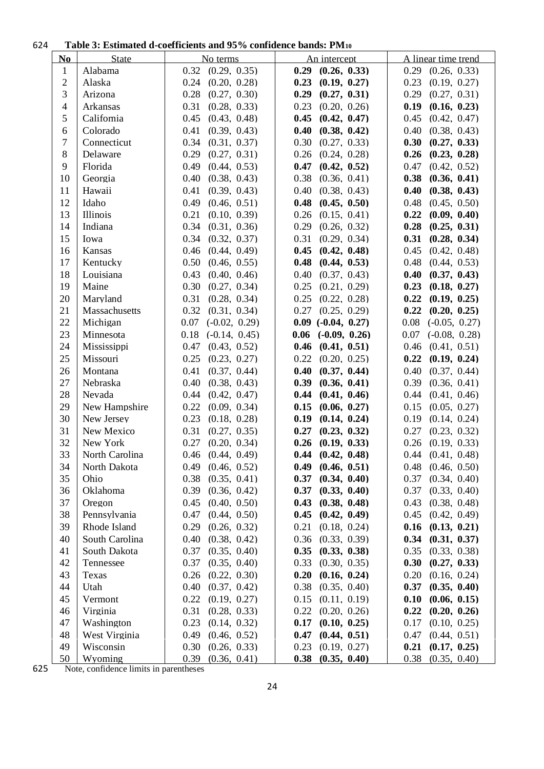#### **Table 3: Estimated d-coefficients and 95% confidence bands: PM<sup>10</sup>**

| N <sub>0</sub> | <b>State</b>    | No terms                | An intercept            | A linear time trend     |
|----------------|-----------------|-------------------------|-------------------------|-------------------------|
| $\mathbf{1}$   | Alabama         | $0.32$ $(0.29, 0.35)$   | $0.29$ $(0.26, 0.33)$   | $0.29$ $(0.26, 0.33)$   |
| $\overline{2}$ | Alaska          | 0.24<br>(0.20, 0.28)    | 0.23<br>(0.19, 0.27)    | 0.23<br>(0.19, 0.27)    |
| 3              | Arizona         | 0.28<br>(0.27, 0.30)    | 0.29<br>(0.27, 0.31)    | 0.29<br>(0.27, 0.31)    |
| $\overline{4}$ | Arkansas        | 0.31<br>(0.28, 0.33)    | 0.23<br>(0.20, 0.26)    | 0.19<br>(0.16, 0.23)    |
| 5              | California      | (0.43, 0.48)<br>0.45    | $0.45$ $(0.42, 0.47)$   | 0.45<br>(0.42, 0.47)    |
| 6              | Colorado        | (0.39, 0.43)<br>0.41    | $0.40$ $(0.38, 0.42)$   | 0.40<br>(0.38, 0.43)    |
| 7              | Connecticut     | (0.31, 0.37)<br>0.34    | (0.27, 0.33)<br>0.30    | 0.30<br>(0.27, 0.33)    |
| 8              | Delaware        | 0.29<br>(0.27, 0.31)    | $0.26$ $(0.24, 0.28)$   | 0.26<br>(0.23, 0.28)    |
| 9              | Florida         | 0.49<br>(0.44, 0.53)    | $0.47$ $(0.42, 0.52)$   | 0.47<br>(0.42, 0.52)    |
| 10             | Georgia         | 0.40<br>(0.38, 0.43)    | $0.38$ $(0.36, 0.41)$   | 0.38<br>(0.36, 0.41)    |
| 11             | Hawaii          | 0.41<br>(0.39, 0.43)    | $0.40$ $(0.38, 0.43)$   | 0.40<br>(0.38, 0.43)    |
| 12             | Idaho           | (0.46, 0.51)<br>0.49    | (0.45, 0.50)<br>0.48    | 0.48<br>(0.45, 0.50)    |
| 13             | <b>Illinois</b> | 0.21<br>(0.10, 0.39)    | 0.26<br>(0.15, 0.41)    | 0.22<br>(0.09, 0.40)    |
| 14             | Indiana         | (0.31, 0.36)<br>0.34    | 0.29<br>(0.26, 0.32)    | 0.28<br>(0.25, 0.31)    |
| 15             | Iowa            | 0.34<br>(0.32, 0.37)    | 0.31<br>(0.29, 0.34)    | 0.31<br>(0.28, 0.34)    |
| 16             | Kansas          | (0.44, 0.49)<br>0.46    | (0.42, 0.48)<br>0.45    | 0.45<br>(0.42, 0.48)    |
| 17             | Kentucky        | (0.46, 0.55)<br>0.50    | $0.48$ $(0.44, 0.53)$   | (0.44, 0.53)<br>0.48    |
| 18             | Louisiana       | (0.40, 0.46)<br>0.43    | (0.37, 0.43)<br>0.40    | 0.40<br>(0.37, 0.43)    |
| 19             | Maine           | 0.30<br>(0.27, 0.34)    | 0.25<br>(0.21, 0.29)    | 0.23<br>(0.18, 0.27)    |
| 20             | Maryland        | 0.31<br>(0.28, 0.34)    | $0.25$ $(0.22, 0.28)$   | 0.22<br>(0.19, 0.25)    |
| 21             | Massachusetts   | $0.32$ $(0.31, 0.34)$   | $0.27$ $(0.25, 0.29)$   | 0.22<br>(0.20, 0.25)    |
| 22             | Michigan        | 0.07<br>$(-0.02, 0.29)$ | $0.09$ $(-0.04, 0.27)$  | 0.08<br>$(-0.05, 0.27)$ |
| 23             | Minnesota       | 0.18<br>$(-0.14, 0.45)$ | 0.06<br>$(-0.09, 0.26)$ | 0.07<br>$(-0.08, 0.28)$ |
| 24             | Mississippi     | 0.47<br>(0.43, 0.52)    | $0.46$ $(0.41, 0.51)$   | 0.46<br>(0.41, 0.51)    |
| 25             | Missouri        | 0.25<br>(0.23, 0.27)    | $0.22$ $(0.20, 0.25)$   | 0.22<br>(0.19, 0.24)    |
| 26             | Montana         | 0.41<br>(0.37, 0.44)    | $0.40$ $(0.37, 0.44)$   | 0.40<br>(0.37, 0.44)    |
| 27             | Nebraska        | (0.38, 0.43)<br>0.40    | 0.39<br>(0.36, 0.41)    | 0.39<br>(0.36, 0.41)    |
| 28             | Nevada          | 0.44<br>(0.42, 0.47)    | (0.41, 0.46)<br>0.44    | 0.44<br>(0.41, 0.46)    |
| 29             | New Hampshire   | 0.22<br>(0.09, 0.34)    | 0.15<br>(0.06, 0.27)    | 0.15<br>(0.05, 0.27)    |
| 30             | New Jersey      | 0.23<br>(0.18, 0.28)    | 0.19<br>(0.14, 0.24)    | 0.19<br>(0.14, 0.24)    |
| 31             | New Mexico      | 0.31<br>(0.27, 0.35)    | $0.27$ $(0.23, 0.32)$   | 0.27<br>(0.23, 0.32)    |
| 32             | New York        | 0.27<br>(0.20, 0.34)    | $0.26$ $(0.19, 0.33)$   | 0.26<br>(0.19, 0.33)    |
| 33             | North Carolina  | 0.46<br>(0.44, 0.49)    | $0.44$ $(0.42, 0.48)$   | $0.44$ $(0.41, 0.48)$   |
| 34             | North Dakota    | (0.46, 0.52)<br>0.49    | (0.46, 0.51)<br>0.49    | (0.46, 0.50)<br>0.48    |
| 35             | Ohio            | (0.35, 0.41)<br>0.38    | 0.37<br>(0.34, 0.40)    | 0.37<br>(0.34, 0.40)    |
| 36             | Oklahoma        | 0.39<br>(0.36, 0.42)    | $0.37$ $(0.33, 0.40)$   | 0.37<br>(0.33, 0.40)    |
| 37             | Oregon          | (0.40, 0.50)<br>0.45    | 0.43<br>(0.38, 0.48)    | 0.43<br>(0.38, 0.48)    |
| 38             | Pennsylvania    | 0.47<br>(0.44, 0.50)    | 0.45<br>(0.42, 0.49)    | 0.45<br>(0.42, 0.49)    |
| 39             | Rhode Island    | 0.29<br>(0.26, 0.32)    | 0.21<br>(0.18, 0.24)    | 0.16<br>(0.13, 0.21)    |
| 40             | South Carolina  | 0.40<br>(0.38, 0.42)    | 0.36<br>(0.33, 0.39)    | 0.34<br>(0.31, 0.37)    |
| 41             | South Dakota    | 0.37<br>(0.35, 0.40)    | 0.35<br>(0.33, 0.38)    | 0.35<br>(0.33, 0.38)    |
| 42             | Tennessee       | 0.37<br>(0.35, 0.40)    | 0.33<br>(0.30, 0.35)    | 0.30<br>(0.27, 0.33)    |
| 43             | Texas           | 0.26<br>(0.22, 0.30)    | (0.16, 0.24)<br>0.20    | 0.20<br>(0.16, 0.24)    |
| 44             | Utah            | 0.40<br>(0.37, 0.42)    | 0.38<br>(0.35, 0.40)    | 0.37<br>(0.35, 0.40)    |
| 45             | Vermont         | (0.19, 0.27)<br>0.22    | 0.15<br>(0.11, 0.19)    | 0.10<br>(0.06, 0.15)    |
| 46             | Virginia        | 0.31<br>(0.28, 0.33)    | 0.22<br>(0.20, 0.26)    | 0.22<br>(0.20, 0.26)    |
| 47             | Washington      | 0.23<br>(0.14, 0.32)    | 0.17<br>(0.10, 0.25)    | 0.17<br>(0.10, 0.25)    |
| 48             | West Virginia   | 0.49<br>(0.46, 0.52)    | 0.47<br>(0.44, 0.51)    | 0.47<br>(0.44, 0.51)    |
| 49             | Wisconsin       | 0.30<br>(0.26, 0.33)    | 0.23<br>(0.19, 0.27)    | 0.21<br>(0.17, 0.25)    |
| 50             | Wyoming         | 0.39<br>(0.36, 0.41)    | 0.38<br>(0.35, 0.40)    | $0.38$ $(0.35, 0.40)$   |

Note, confidence limits in parentheses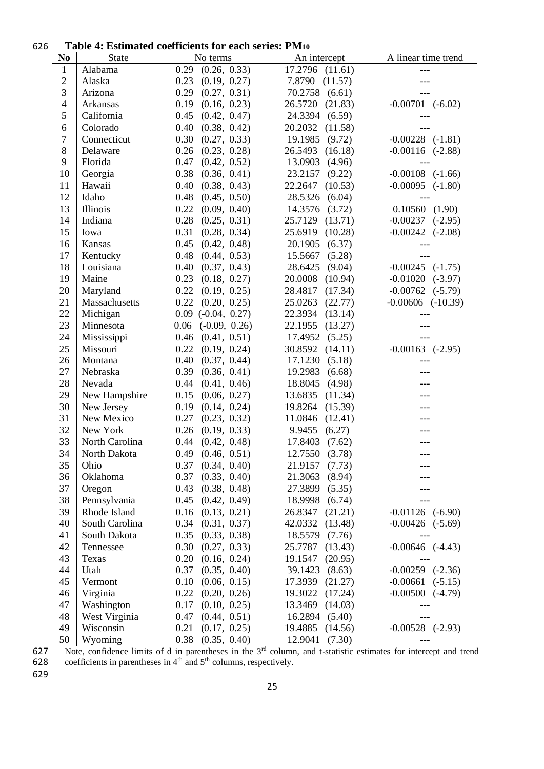#### **Table 4: Estimated coefficients for each series: PM<sup>10</sup>**

|                         |                            | aniana commento foi taen befico, i mito      |                                         |                         |
|-------------------------|----------------------------|----------------------------------------------|-----------------------------------------|-------------------------|
| N <sub>0</sub>          | State                      | No terms                                     | An intercept                            | A linear time trend     |
| $\mathbf{1}$            | Alabama                    | 0.29<br>(0.26, 0.33)                         | 17.2796 (11.61)                         | ---                     |
| $\overline{c}$          | Alaska                     | 0.23<br>(0.19, 0.27)                         | 7.8790<br>(11.57)                       |                         |
| $\overline{3}$          | Arizona                    | 0.29<br>(0.27, 0.31)                         | 70.2758<br>(6.61)                       |                         |
| $\overline{\mathbf{4}}$ | Arkansas                   | (0.16, 0.23)<br>0.19                         | 26.5720<br>(21.83)                      | $-0.00701$ $(-6.02)$    |
| 5                       | California                 | 0.45<br>(0.42, 0.47)                         | 24.3394<br>(6.59)                       |                         |
| 6                       | Colorado                   | 0.40<br>(0.38, 0.42)                         | 20.2032<br>(11.58)                      |                         |
| $\overline{7}$          | Connecticut                | 0.30<br>(0.27, 0.33)                         | (9.72)<br>19.1985                       | $-0.00228$ $(-1.81)$    |
| 8                       | Delaware                   | 0.26<br>(0.23, 0.28)                         | (16.18)<br>26.5493                      | $-0.00116$ $(-2.88)$    |
| 9                       | Florida                    | 0.47<br>(0.42, 0.52)                         | 13.0903<br>(4.96)                       |                         |
| 10                      | Georgia                    | 0.38<br>(0.36, 0.41)                         | 23.2157<br>(9.22)                       | $-0.00108$ $(-1.66)$    |
| 11                      | Hawaii                     | (0.38, 0.43)<br>0.40                         | 22.2647<br>(10.53)                      | $-0.00095$ $(-1.80)$    |
| 12                      | Idaho                      | 0.48<br>(0.45, 0.50)                         | 28.5326<br>(6.04)                       |                         |
| 13                      | Illinois                   | 0.22<br>(0.09, 0.40)                         | 14.3576<br>(3.72)                       | 0.10560(1.90)           |
| 14                      | Indiana                    | 0.28<br>(0.25, 0.31)                         | 25.7129<br>(13.71)                      | $-0.00237$ $(-2.95)$    |
| 15                      | Iowa                       | 0.31<br>(0.28, 0.34)                         | 25.6919<br>(10.28)                      | $-0.00242$ $(-2.08)$    |
| 16                      | Kansas                     | 0.45<br>(0.42, 0.48)                         | (6.37)<br>20.1905                       |                         |
| 17                      | Kentucky                   | (0.44, 0.53)<br>0.48                         | (5.28)<br>15.5667                       |                         |
| 18                      | Louisiana                  | 0.40<br>(0.37, 0.43)                         | 28.6425<br>(9.04)                       | $-0.00245$ $(-1.75)$    |
| 19                      | Maine                      | 0.23<br>(0.18, 0.27)                         | 20.0008<br>(10.94)                      | $-0.01020$ $(-3.97)$    |
| 20                      | Maryland                   | 0.22<br>(0.19, 0.25)                         | 28.4817<br>(17.34)                      | $-0.00762$<br>$(-5.79)$ |
| 21                      | Massachusetts              | 0.22<br>(0.20, 0.25)                         | 25.0263<br>(22.77)                      | $-0.00606$ $(-10.39)$   |
| 22                      | Michigan                   | $0.09$ $(-0.04, 0.27)$                       | 22.3934<br>(13.14)                      |                         |
| 23                      | Minnesota                  | $(-0.09, 0.26)$<br>0.06                      | (13.27)<br>22.1955                      |                         |
| 24                      | Mississippi                | (0.41, 0.51)<br>0.46                         | (5.25)<br>17.4952                       |                         |
| 25                      | Missouri                   | 0.22<br>(0.19, 0.24)                         | 30.8592<br>(14.11)                      | $-0.00163$ $(-2.95)$    |
| 26                      | Montana                    | 0.40<br>(0.37, 0.44)                         | 17.1230<br>(5.18)                       |                         |
| 27                      | Nebraska                   | 0.39<br>(0.36, 0.41)                         | 19.2983<br>(6.68)                       |                         |
| 28                      | Nevada                     | 0.44<br>(0.41, 0.46)                         | 18.8045<br>(4.98)                       |                         |
| 29                      | New Hampshire              | 0.15<br>(0.06, 0.27)                         | 13.6835<br>(11.34)                      |                         |
| 30                      | New Jersey                 | 0.19<br>(0.14, 0.24)                         | 19.8264<br>(15.39)                      |                         |
| 31                      | New Mexico                 | 0.27<br>(0.23, 0.32)                         | (12.41)<br>11.0846                      |                         |
| 32                      | New York                   | 0.26<br>(0.19, 0.33)                         | (6.27)<br>9.9455                        |                         |
| 33                      | North Carolina             | (0.42, 0.48)<br>0.44                         | 17.8403<br>(7.62)                       |                         |
| 34                      | North Dakota               | 0.49<br>(0.46, 0.51)                         | 12.7550<br>(3.78)                       | $---$                   |
| 35                      | Ohio                       | (0.34, 0.40)<br>0.37                         | 21.9157<br>(7.73)                       |                         |
| 36                      | Oklahoma                   | (0.33, 0.40)<br>0.37                         | 21.3063<br>(8.94)                       |                         |
| 37                      | Oregon                     | 0.43<br>(0.38, 0.48)                         | 27.3899<br>(5.35)                       |                         |
| 38                      | Pennsylvania               | (0.42, 0.49)<br>0.45                         | (6.74)<br>18.9998                       |                         |
| 39                      | Rhode Island               | (0.13, 0.21)<br>0.16                         | (21.21)<br>26.8347                      | $-0.01126$ $(-6.90)$    |
| 40                      | South Carolina             | (0.31, 0.37)<br>0.34                         | (13.48)<br>42.0332                      | $-0.00426$ $(-5.69)$    |
| 41                      | South Dakota               | (0.33, 0.38)<br>0.35                         | 18.5579<br>(7.76)                       |                         |
| 42                      | Tennessee                  | 0.30<br>(0.27, 0.33)                         | 25.7787<br>(13.43)                      | $-0.00646$ $(-4.43)$    |
| 43                      | Texas                      | 0.20<br>(0.16, 0.24)                         | (20.95)<br>19.1547                      |                         |
| 44                      | Utah                       | 0.37<br>(0.35, 0.40)                         | 39.1423<br>(8.63)                       | $-0.00259$ $(-2.36)$    |
| 45                      | Vermont                    | (0.06, 0.15)<br>0.10                         | 17.3939<br>(21.27)                      | $-0.00661$<br>$(-5.15)$ |
| 46<br>47                | Virginia                   | 0.22<br>(0.20, 0.26)                         | (17.24)<br>19.3022                      | $-0.00500$<br>$(-4.79)$ |
| 48                      | Washington                 | (0.10, 0.25)<br>0.17<br>(0.44, 0.51)<br>0.47 | 13.3469<br>(14.03)<br>(5.40)<br>16.2894 |                         |
| 49                      | West Virginia<br>Wisconsin | 0.21<br>(0.17, 0.25)                         | 19.4885<br>(14.56)                      | $-0.00528$ $(-2.93)$    |
| 50                      | Wyoming                    | (0.35, 0.40)<br>0.38                         | 12.9041<br>(7.30)                       |                         |
|                         |                            |                                              |                                         |                         |

627 Note, confidence limits of d in parentheses in the  $3<sup>rd</sup>$  column, and t-statistic estimates for intercept and trend

628 coefficients in parentheses in  $4<sup>th</sup>$  and  $5<sup>th</sup>$  columns, respectively.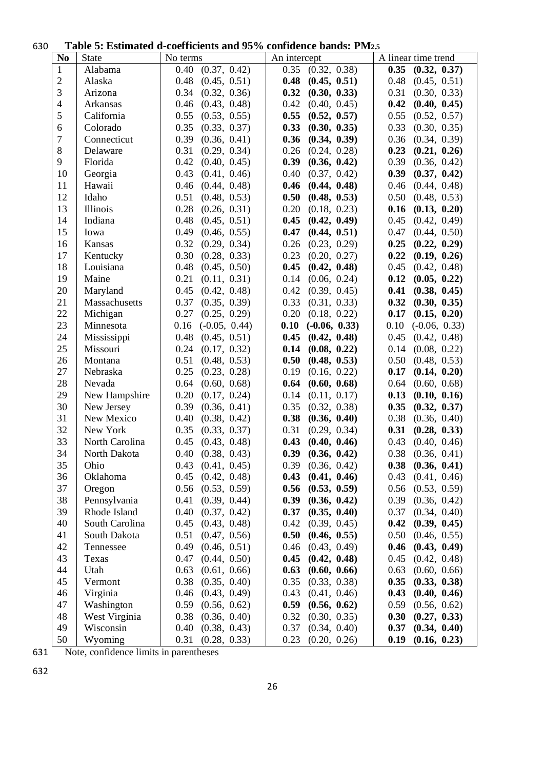## **Table 5: Estimated d-coefficients and 95% confidence bands: PM2.5**

| N <sub>0</sub> | <b>State</b>   | No terms                | An intercept            | A linear time trend     |
|----------------|----------------|-------------------------|-------------------------|-------------------------|
| $\mathbf{1}$   | Alabama        | (0.37, 0.42)<br>0.40    | (0.32, 0.38)<br>0.35    | $0.35$ $(0.32, 0.37)$   |
| $\mathfrak{2}$ | Alaska         | 0.48<br>(0.45, 0.51)    | 0.48<br>(0.45, 0.51)    | 0.48<br>(0.45, 0.51)    |
| 3              | Arizona        | 0.34<br>(0.32, 0.36)    | 0.32<br>(0.30, 0.33)    | 0.31<br>(0.30, 0.33)    |
| $\overline{4}$ | Arkansas       | 0.46<br>(0.43, 0.48)    | 0.42<br>(0.40, 0.45)    | 0.42<br>(0.40, 0.45)    |
| 5              | California     | 0.55<br>(0.53, 0.55)    | 0.55<br>(0.52, 0.57)    | 0.55<br>(0.52, 0.57)    |
| 6              | Colorado       | 0.35<br>(0.33, 0.37)    | 0.33<br>(0.30, 0.35)    | 0.33<br>(0.30, 0.35)    |
| $\overline{7}$ | Connecticut    | 0.39<br>(0.36, 0.41)    | 0.36<br>(0.34, 0.39)    | 0.36<br>(0.34, 0.39)    |
| 8              | Delaware       | 0.31<br>(0.29, 0.34)    | 0.26<br>(0.24, 0.28)    | 0.23<br>(0.21, 0.26)    |
| 9              | Florida        | 0.42<br>(0.40, 0.45)    | 0.39<br>(0.36, 0.42)    | 0.39<br>(0.36, 0.42)    |
| 10             | Georgia        | 0.43<br>(0.41, 0.46)    | 0.40<br>(0.37, 0.42)    | 0.39<br>(0.37, 0.42)    |
| 11             | Hawaii         | (0.44, 0.48)<br>0.46    | (0.44, 0.48)<br>0.46    | 0.46<br>(0.44, 0.48)    |
| 12             | Idaho          | 0.51<br>(0.48, 0.53)    | 0.50<br>(0.48, 0.53)    | 0.50<br>(0.48, 0.53)    |
| 13             | Illinois       | 0.28<br>(0.26, 0.31)    | 0.20<br>(0.18, 0.23)    | 0.16<br>(0.13, 0.20)    |
| 14             | Indiana        | 0.48<br>(0.45, 0.51)    | 0.45<br>(0.42, 0.49)    | 0.45<br>(0.42, 0.49)    |
| 15             | Iowa           | 0.49<br>(0.46, 0.55)    | 0.47<br>(0.44, 0.51)    | 0.47<br>(0.44, 0.50)    |
| 16             | Kansas         | $0.32$ $(0.29, 0.34)$   | 0.26<br>(0.23, 0.29)    | 0.25<br>(0.22, 0.29)    |
| 17             | Kentucky       | 0.30<br>(0.28, 0.33)    | 0.23<br>(0.20, 0.27)    | 0.22<br>(0.19, 0.26)    |
| 18             | Louisiana      | (0.45, 0.50)<br>0.48    | 0.45<br>(0.42, 0.48)    | 0.45<br>(0.42, 0.48)    |
| 19             | Maine          | 0.21<br>(0.11, 0.31)    | 0.14<br>(0.06, 0.24)    | 0.12<br>(0.05, 0.22)    |
| 20             | Maryland       | 0.45<br>(0.42, 0.48)    | 0.42<br>(0.39, 0.45)    | 0.41<br>(0.38, 0.45)    |
| 21             | Massachusetts  | 0.37<br>(0.35, 0.39)    | 0.33<br>(0.31, 0.33)    | 0.32<br>(0.30, 0.35)    |
| 22             | Michigan       | 0.27<br>(0.25, 0.29)    | 0.20<br>(0.18, 0.22)    | 0.17<br>(0.15, 0.20)    |
| 23             | Minnesota      | 0.16<br>$(-0.05, 0.44)$ | 0.10<br>$(-0.06, 0.33)$ | 0.10<br>$(-0.06, 0.33)$ |
| 24             | Mississippi    | (0.45, 0.51)<br>0.48    | (0.42, 0.48)<br>0.45    | 0.45<br>(0.42, 0.48)    |
| 25             | Missouri       | 0.24<br>(0.17, 0.32)    | 0.14<br>(0.08, 0.22)    | 0.14<br>(0.08, 0.22)    |
| 26             | Montana        | 0.51<br>(0.48, 0.53)    | (0.48, 0.53)<br>0.50    | 0.50<br>(0.48, 0.53)    |
| 27             | Nebraska       | 0.25<br>(0.23, 0.28)    | 0.19<br>(0.16, 0.22)    | 0.17<br>(0.14, 0.20)    |
| 28             | Nevada         | 0.64<br>(0.60, 0.68)    | 0.64<br>(0.60, 0.68)    | 0.64<br>(0.60, 0.68)    |
| 29             | New Hampshire  | 0.20<br>(0.17, 0.24)    | 0.14<br>(0.11, 0.17)    | 0.13<br>(0.10, 0.16)    |
| 30             | New Jersey     | 0.39<br>(0.36, 0.41)    | 0.35<br>(0.32, 0.38)    | 0.35<br>(0.32, 0.37)    |
| 31             | New Mexico     | 0.40<br>(0.38, 0.42)    | (0.36, 0.40)<br>0.38    | 0.38<br>(0.36, 0.40)    |
| 32             | New York       | 0.35<br>(0.33, 0.37)    | (0.29, 0.34)<br>0.31    | 0.31<br>(0.28, 0.33)    |
| 33             | North Carolina | 0.45<br>(0.43, 0.48)    | 0.43<br>(0.40, 0.46)    | 0.43<br>(0.40, 0.46)    |
| 34             | North Dakota   | 0.40<br>(0.38, 0.43)    | 0.39<br>(0.36, 0.42)    | 0.38<br>(0.36, 0.41)    |
| 35             | Ohio           | (0.41, 0.45)<br>0.43    | (0.36, 0.42)<br>0.39    | (0.36, 0.41)<br>0.38    |
| 36             | Oklahoma       | 0.45<br>(0.42, 0.48)    | 0.43<br>(0.41, 0.46)    | 0.43<br>(0.41, 0.46)    |
| 37             | Oregon         | 0.56<br>(0.53, 0.59)    | 0.56<br>(0.53, 0.59)    | 0.56<br>(0.53, 0.59)    |
| 38             | Pennsylvania   | 0.41<br>(0.39, 0.44)    | 0.39<br>(0.36, 0.42)    | 0.39<br>(0.36, 0.42)    |
| 39             | Rhode Island   | (0.37, 0.42)<br>0.40    | (0.35, 0.40)<br>0.37    | 0.37<br>(0.34, 0.40)    |
| 40             | South Carolina | 0.45<br>(0.43, 0.48)    | 0.42<br>(0.39, 0.45)    | 0.42<br>(0.39, 0.45)    |
| 41             | South Dakota   | 0.51<br>(0.47, 0.56)    | 0.50<br>(0.46, 0.55)    | 0.50<br>(0.46, 0.55)    |
| 42             | Tennessee      | 0.49<br>(0.46, 0.51)    | 0.46<br>(0.43, 0.49)    | 0.46<br>(0.43, 0.49)    |
| 43             | Texas          | 0.47<br>(0.44, 0.50)    | 0.45<br>(0.42, 0.48)    | 0.45<br>(0.42, 0.48)    |
| 44             | Utah           | 0.63<br>(0.61, 0.66)    | (0.60, 0.66)<br>0.63    | 0.63<br>(0.60, 0.66)    |
| 45             | Vermont        | 0.38<br>(0.35, 0.40)    | 0.35<br>(0.33, 0.38)    | 0.35<br>(0.33, 0.38)    |
| 46             | Virginia       | 0.46<br>(0.43, 0.49)    | 0.43<br>(0.41, 0.46)    | 0.43<br>(0.40, 0.46)    |
| 47             | Washington     | 0.59<br>(0.56, 0.62)    | 0.59<br>(0.56, 0.62)    | 0.59<br>(0.56, 0.62)    |
| 48             | West Virginia  | 0.38<br>(0.36, 0.40)    | (0.30, 0.35)<br>0.32    | 0.30<br>(0.27, 0.33)    |
| 49             | Wisconsin      | (0.38, 0.43)<br>0.40    | (0.34, 0.40)<br>0.37    | (0.34, 0.40)<br>0.37    |
| 50             | Wyoming        | 0.31<br>(0.28, 0.33)    | 0.23<br>(0.20, 0.26)    | (0.16, 0.23)<br>0.19    |

Note, confidence limits in parentheses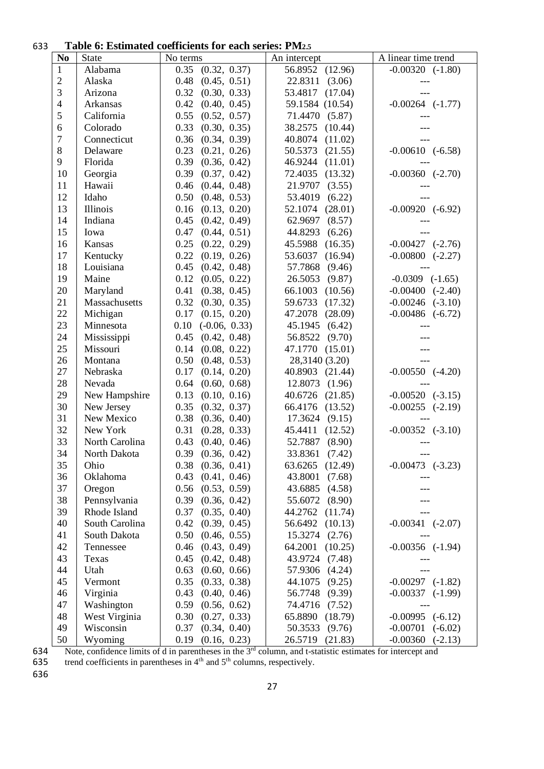#### **Table 6: Estimated coefficients for each series: PM2.5**

|                |                | <b>I apic 0. Estimated coefficients for each series.</b> I M2.5 |                    |                         |
|----------------|----------------|-----------------------------------------------------------------|--------------------|-------------------------|
| N <sub>0</sub> | State          | No terms                                                        | An intercept       | A linear time trend     |
| $\mathbf{1}$   | Alabama        | 0.35<br>(0.32, 0.37)                                            | 56.8952<br>(12.96) | $-0.00320$ $(-1.80)$    |
| $\sqrt{2}$     | Alaska         | 0.48<br>(0.45, 0.51)                                            | 22.8311<br>(3.06)  |                         |
| 3              | Arizona        | 0.32<br>(0.30, 0.33)                                            | 53.4817<br>(17.04) |                         |
| $\overline{4}$ | Arkansas       | 0.42<br>(0.40, 0.45)                                            | 59.1584 (10.54)    | $-0.00264$ $(-1.77)$    |
| $\mathfrak{S}$ | California     | 0.55<br>(0.52, 0.57)                                            | 71.4470<br>(5.87)  |                         |
| 6              | Colorado       | (0.30, 0.35)<br>0.33                                            | 38.2575<br>(10.44) |                         |
| $\tau$         | Connecticut    | 0.36<br>(0.34, 0.39)                                            | 40.8074<br>(11.02) |                         |
| $8\,$          | Delaware       | 0.23<br>(0.21, 0.26)                                            | 50.5373<br>(21.55) | $-0.00610$ $(-6.58)$    |
| 9              | Florida        | 0.39<br>(0.36, 0.42)                                            | 46.9244<br>(11.01) |                         |
| 10             | Georgia        | 0.39<br>(0.37, 0.42)                                            | (13.32)<br>72.4035 | $-0.00360$ $(-2.70)$    |
| 11             | Hawaii         | 0.46<br>(0.44, 0.48)                                            | 21.9707<br>(3.55)  |                         |
| 12             | Idaho          | 0.50<br>(0.48, 0.53)                                            | 53.4019<br>(6.22)  |                         |
| 13             | Illinois       | (0.13, 0.20)<br>0.16                                            | (28.01)<br>52.1074 | $-0.00920$ $(-6.92)$    |
| 14             | Indiana        | (0.42, 0.49)<br>0.45                                            | 62.9697<br>(8.57)  |                         |
| 15             | Iowa           | 0.47<br>(0.44, 0.51)                                            | (6.26)<br>44.8293  |                         |
| 16             | Kansas         | 0.25<br>(0.22, 0.29)                                            | (16.35)<br>45.5988 | $-0.00427$ $(-2.76)$    |
| 17             | Kentucky       | 0.22<br>(0.19, 0.26)                                            | (16.94)<br>53.6037 | $-0.00800$ $(-2.27)$    |
| 18             | Louisiana      | 0.45<br>(0.42, 0.48)                                            | 57.7868<br>(9.46)  |                         |
| 19             | Maine          | 0.12<br>(0.05, 0.22)                                            | 26.5053<br>(9.87)  | $-0.0309$ $(-1.65)$     |
| 20             | Maryland       | (0.38, 0.45)<br>0.41                                            | 66.1003<br>(10.56) | $-0.00400$ $(-2.40)$    |
| 21             | Massachusetts  | (0.30, 0.35)<br>0.32                                            | 59.6733<br>(17.32) | $-0.00246$ $(-3.10)$    |
| 22             | Michigan       | 0.17<br>(0.15, 0.20)                                            | 47.2078<br>(28.09) | $-0.00486$ $(-6.72)$    |
| 23             | Minnesota      | 0.10<br>$(-0.06, 0.33)$                                         | (6.42)<br>45.1945  |                         |
| 24             | Mississippi    | 0.45<br>(0.42, 0.48)                                            | (9.70)<br>56.8522  |                         |
| 25             | Missouri       | (0.08, 0.22)<br>0.14                                            | 47.1770<br>(15.01) |                         |
| 26             | Montana        | 0.50<br>(0.48, 0.53)                                            | 28,3140 (3.20)     |                         |
| 27             | Nebraska       | 0.17<br>(0.14, 0.20)                                            | 40.8903<br>(21.44) | $-0.00550$ $(-4.20)$    |
| 28             | Nevada         | 0.64<br>(0.60, 0.68)                                            | 12.8073<br>(1.96)  |                         |
| 29             | New Hampshire  | (0.10, 0.16)<br>0.13                                            | 40.6726<br>(21.85) | $-0.00520$ $(-3.15)$    |
| 30             | New Jersey     | 0.35<br>(0.32, 0.37)                                            | 66.4176<br>(13.52) | $-0.00255$ $(-2.19)$    |
| 31             | New Mexico     | 0.38<br>(0.36, 0.40)                                            | (9.15)<br>17.3624  |                         |
| 32             | New York       | 0.31<br>(0.28, 0.33)                                            | (12.52)<br>45.4411 | $-0.00352$ $(-3.10)$    |
| 33             | North Carolina | 0.43<br>(0.40, 0.46)                                            | 52.7887<br>(8.90)  |                         |
| 34             | North Dakota   | 0.39<br>(0.36, 0.42)                                            | 33.8361<br>(7.42)  |                         |
| 35             | Ohio           | 0.38<br>(0.36, 0.41)                                            | (12.49)<br>63.6265 | $-0.00473$ $(-3.23)$    |
| 36             | Oklahoma       | 0.43<br>(0.41, 0.46)                                            | 43.8001<br>(7.68)  |                         |
| 37             | Oregon         | 0.56<br>(0.53, 0.59)                                            | (4.58)<br>43.6885  |                         |
| 38             | Pennsylvania   | 0.39<br>(0.36, 0.42)                                            | (8.90)<br>55.6072  |                         |
| 39             | Rhode Island   | 0.37<br>(0.35, 0.40)                                            | 44.2762<br>(11.74) |                         |
| 40             | South Carolina | 0.42<br>(0.39, 0.45)                                            | (10.13)<br>56.6492 | $-0.00341$ $(-2.07)$    |
| 41             | South Dakota   | 0.50<br>(0.46, 0.55)                                            | 15.3274<br>(2.76)  |                         |
| 42             | Tennessee      | 0.46<br>(0.43, 0.49)                                            | 64.2001<br>(10.25) | $-0.00356$ $(-1.94)$    |
| 43             | Texas          | 0.45<br>(0.42, 0.48)                                            | 43.9724<br>(7.48)  |                         |
| 44             | Utah           | 0.63<br>(0.60, 0.66)                                            | (4.24)<br>57.9306  |                         |
| 45             | Vermont        | (0.33, 0.38)<br>0.35                                            | (9.25)<br>44.1075  | $-0.00297$ $(-1.82)$    |
| 46             | Virginia       | 0.43<br>(0.40, 0.46)                                            | (9.39)<br>56.7748  | $-0.00337$ $(-1.99)$    |
| 47             | Washington     | 0.59<br>(0.56, 0.62)                                            | 74.4716<br>(7.52)  |                         |
| 48             | West Virginia  | (0.27, 0.33)<br>0.30                                            | 65.8890<br>(18.79) | $-0.00995$ $(-6.12)$    |
| 49             | Wisconsin      | (0.34, 0.40)<br>0.37                                            | 50.3533<br>(9.76)  | $-0.00701$<br>$(-6.02)$ |
| 50             | Wyoming        | 0.19<br>(0.16, 0.23)                                            | 26.5719<br>(21.83) | $-0.00360$<br>$(-2.13)$ |

634 Note, confidence limits of d in parentheses in the  $3<sup>rd</sup>$  column, and t-statistic estimates for intercept and

635 trend coefficients in parentheses in  $4<sup>th</sup>$  and  $5<sup>th</sup>$  columns, respectively.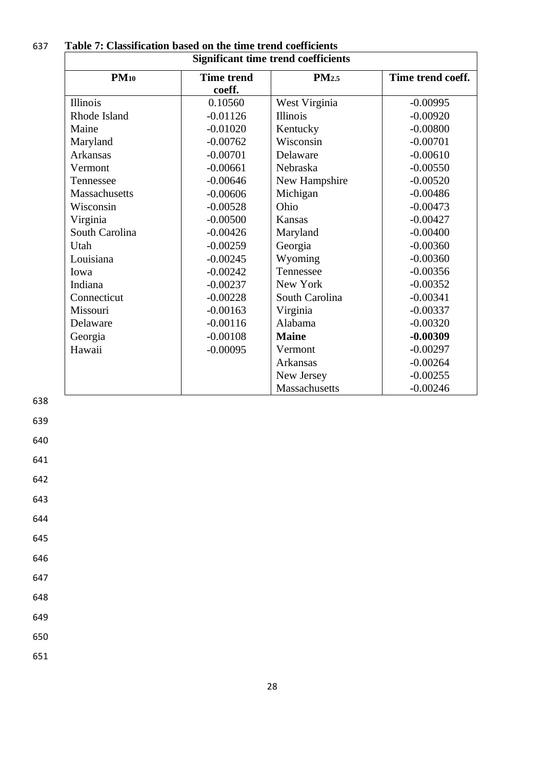| <b>Significant time trend coefficients</b> |                   |                   |                   |
|--------------------------------------------|-------------------|-------------------|-------------------|
| $PM_{10}$                                  | <b>Time trend</b> | PM <sub>2.5</sub> | Time trend coeff. |
|                                            | coeff.            |                   |                   |
| Illinois                                   | 0.10560           | West Virginia     | $-0.00995$        |
| Rhode Island                               | $-0.01126$        | <b>Illinois</b>   | $-0.00920$        |
| Maine                                      | $-0.01020$        | Kentucky          | $-0.00800$        |
| Maryland                                   | $-0.00762$        | Wisconsin         | $-0.00701$        |
| <b>Arkansas</b>                            | $-0.00701$        | Delaware          | $-0.00610$        |
| Vermont                                    | $-0.00661$        | Nebraska          | $-0.00550$        |
| Tennessee                                  | $-0.00646$        | New Hampshire     | $-0.00520$        |
| Massachusetts                              | $-0.00606$        | Michigan          | $-0.00486$        |
| Wisconsin                                  | $-0.00528$        | Ohio              | $-0.00473$        |
| Virginia                                   | $-0.00500$        | Kansas            | $-0.00427$        |
| South Carolina                             | $-0.00426$        | Maryland          | $-0.00400$        |
| Utah                                       | $-0.00259$        | Georgia           | $-0.00360$        |
| Louisiana                                  | $-0.00245$        | Wyoming           | $-0.00360$        |
| Iowa                                       | $-0.00242$        | Tennessee         | $-0.00356$        |
| Indiana                                    | $-0.00237$        | New York          | $-0.00352$        |
| Connecticut                                | $-0.00228$        | South Carolina    | $-0.00341$        |
| Missouri                                   | $-0.00163$        | Virginia          | $-0.00337$        |
| Delaware                                   | $-0.00116$        | Alabama           | $-0.00320$        |
| Georgia                                    | $-0.00108$        | <b>Maine</b>      | $-0.00309$        |
| Hawaii                                     | $-0.00095$        | Vermont           | $-0.00297$        |
|                                            |                   | <b>Arkansas</b>   | $-0.00264$        |
|                                            |                   | New Jersey        | $-0.00255$        |
|                                            |                   | Massachusetts     | $-0.00246$        |

| 637 | Table 7: Classification based on the time trend coefficients |
|-----|--------------------------------------------------------------|
|     |                                                              |

639

640

641

642

643

644

645

646

647

648

649

650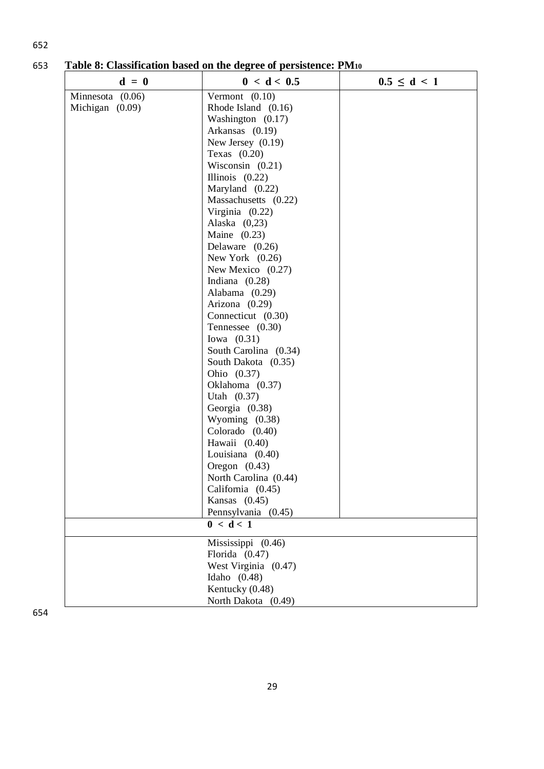| $d = 0$          | 0 < d < 0.5           | $0.5 \le d \le 1$ |
|------------------|-----------------------|-------------------|
| Minnesota (0.06) | Vermont $(0.10)$      |                   |
| Michigan (0.09)  | Rhode Island (0.16)   |                   |
|                  | Washington $(0.17)$   |                   |
|                  | Arkansas (0.19)       |                   |
|                  | New Jersey $(0.19)$   |                   |
|                  | Texas $(0.20)$        |                   |
|                  | Wisconsin $(0.21)$    |                   |
|                  | Illinois $(0.22)$     |                   |
|                  | Maryland (0.22)       |                   |
|                  | Massachusetts (0.22)  |                   |
|                  | Virginia (0.22)       |                   |
|                  | Alaska $(0,23)$       |                   |
|                  | Maine $(0.23)$        |                   |
|                  | Delaware $(0.26)$     |                   |
|                  | New York $(0.26)$     |                   |
|                  | New Mexico $(0.27)$   |                   |
|                  | Indiana $(0.28)$      |                   |
|                  | Alabama (0.29)        |                   |
|                  | Arizona (0.29)        |                   |
|                  | Connecticut (0.30)    |                   |
|                  | Tennessee $(0.30)$    |                   |
|                  | Iowa $(0.31)$         |                   |
|                  | South Carolina (0.34) |                   |
|                  | South Dakota (0.35)   |                   |
|                  | Ohio (0.37)           |                   |
|                  | Oklahoma (0.37)       |                   |
|                  | Utah $(0.37)$         |                   |
|                  | Georgia (0.38)        |                   |
|                  | Wyoming (0.38)        |                   |
|                  | Colorado (0.40)       |                   |
|                  | Hawaii (0.40)         |                   |
|                  | Louisiana (0.40)      |                   |
|                  | Oregon $(0.43)$       |                   |
|                  | North Carolina (0.44) |                   |
|                  | California (0.45)     |                   |
|                  | Kansas $(0.45)$       |                   |
|                  | Pennsylvania (0.45)   |                   |
|                  | 0 < d < 1             |                   |
|                  | Mississippi (0.46)    |                   |
|                  | Florida $(0.47)$      |                   |
|                  | West Virginia (0.47)  |                   |
|                  | Idaho $(0.48)$        |                   |
|                  | Kentucky (0.48)       |                   |
|                  | North Dakota (0.49)   |                   |

653 **Table 8: Classification based on the degree of persistence: PM<sup>10</sup>**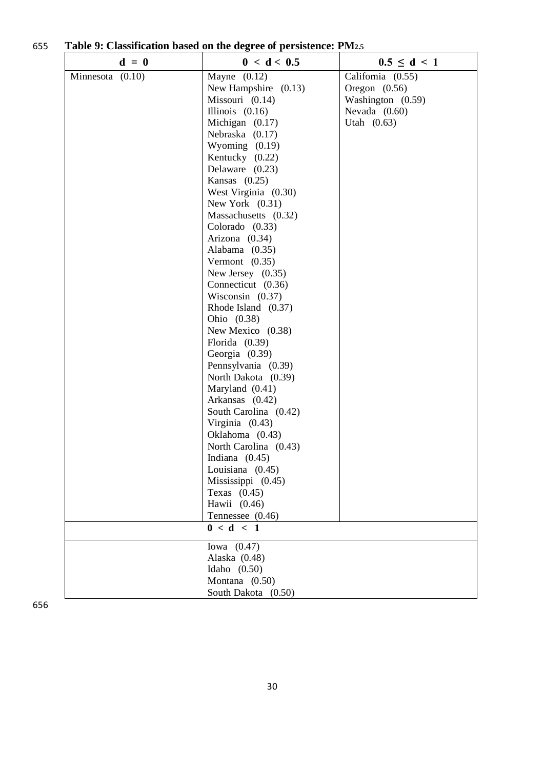| 655 | Table 9: Classification based on the degree of persistence: PM2.5 |  |
|-----|-------------------------------------------------------------------|--|
|     |                                                                   |  |

| $d = 0$            | 0 < d < 0.5            | $0.5 \le d \le 1$ |
|--------------------|------------------------|-------------------|
| Minnesota $(0.10)$ | Mayne $(0.12)$         | California (0.55) |
|                    | New Hampshire $(0.13)$ | Oregon $(0.56)$   |
|                    | Missouri (0.14)        | Washington (0.59) |
|                    | Illinois $(0.16)$      | Nevada $(0.60)$   |
|                    | Michigan $(0.17)$      | Utah $(0.63)$     |
|                    | Nebraska (0.17)        |                   |
|                    | Wyoming $(0.19)$       |                   |
|                    | Kentucky (0.22)        |                   |
|                    | Delaware (0.23)        |                   |
|                    | Kansas $(0.25)$        |                   |
|                    | West Virginia (0.30)   |                   |
|                    | New York $(0.31)$      |                   |
|                    | Massachusetts (0.32)   |                   |
|                    | Colorado $(0.33)$      |                   |
|                    | Arizona (0.34)         |                   |
|                    | Alabama (0.35)         |                   |
|                    | Vermont $(0.35)$       |                   |
|                    | New Jersey $(0.35)$    |                   |
|                    | Connecticut (0.36)     |                   |
|                    | Wisconsin $(0.37)$     |                   |
|                    | Rhode Island (0.37)    |                   |
|                    | Ohio (0.38)            |                   |
|                    | New Mexico (0.38)      |                   |
|                    | Florida $(0.39)$       |                   |
|                    | Georgia (0.39)         |                   |
|                    | Pennsylvania (0.39)    |                   |
|                    | North Dakota (0.39)    |                   |
|                    | Maryland (0.41)        |                   |
|                    | Arkansas (0.42)        |                   |
|                    | South Carolina (0.42)  |                   |
|                    | Virginia (0.43)        |                   |
|                    | Oklahoma (0.43)        |                   |
|                    | North Carolina (0.43)  |                   |
|                    | Indiana $(0.45)$       |                   |
|                    | Louisiana (0.45)       |                   |
|                    | Mississippi (0.45)     |                   |
|                    | Texas $(0.45)$         |                   |
|                    | Hawii $(0.46)$         |                   |
|                    | Tennessee (0.46)       |                   |
|                    | 0 < d < 1              |                   |
|                    | Iowa $(0.47)$          |                   |
|                    | Alaska (0.48)          |                   |
|                    | Idaho $(0.50)$         |                   |
|                    | Montana (0.50)         |                   |
|                    | South Dakota (0.50)    |                   |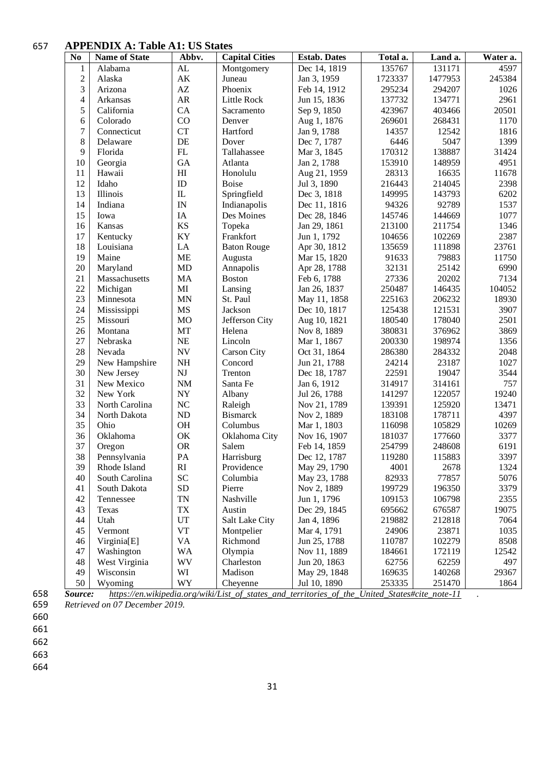#### **APPENDIX A: Table A1: US States**

| N <sub>0</sub>   | <b>Name of State</b> | Abbv.                  | <b>Capital Cities</b> | <b>Estab.</b> Dates | Total a. | Land a. | Water a.      |
|------------------|----------------------|------------------------|-----------------------|---------------------|----------|---------|---------------|
| $\mathbf{1}$     | Alabama              | AL                     | Montgomery            | Dec 14, 1819        | 135767   | 131171  | 4597          |
| $\overline{c}$   | Alaska               | $\mathbf{A}\mathbf{K}$ | Juneau                | Jan 3, 1959         | 1723337  | 1477953 | 245384        |
| 3                | Arizona              | $\mathbf{A}\mathbf{Z}$ | Phoenix               | Feb 14, 1912        | 295234   | 294207  | 1026          |
| 4                | Arkansas             | AR                     | Little Rock           | Jun 15, 1836        | 137732   | 134771  | 2961          |
| 5                | California           | CA                     | Sacramento            | Sep 9, 1850         | 423967   | 403466  | 20501         |
| 6                | Colorado             | CO                     | Denver                | Aug 1, 1876         | 269601   | 268431  | 1170          |
| $\boldsymbol{7}$ | Connecticut          | <b>CT</b>              | Hartford              | Jan 9, 1788         | 14357    | 12542   | 1816          |
| 8                | Delaware             | DE                     | Dover                 | Dec 7, 1787         | 6446     | 5047    | 1399          |
| 9                | Florida              | ${\rm FL}$             | Tallahassee           | Mar 3, 1845         | 170312   | 138887  | 31424         |
| 10               | Georgia              | GA                     | Atlanta               | Jan 2, 1788         | 153910   | 148959  | 4951          |
| 11               | Hawaii               | H                      | Honolulu              | Aug 21, 1959        | 28313    | 16635   | 11678         |
| 12               | Idaho                | ID                     | <b>Boise</b>          | Jul 3, 1890         | 216443   | 214045  | 2398          |
| 13               | Illinois             | IL                     | Springfield           | Dec 3, 1818         | 149995   | 143793  | 6202          |
| 14               | Indiana              | IN                     | Indianapolis          | Dec 11, 1816        | 94326    | 92789   | 1537          |
| 15               | Iowa                 | IA                     | Des Moines            | Dec 28, 1846        | 145746   | 144669  | 1077          |
| 16               | Kansas               | <b>KS</b>              | Topeka                | Jan 29, 1861        | 213100   | 211754  | 1346          |
| 17               | Kentucky             | KY                     | Frankfort             | Jun 1, 1792         | 104656   | 102269  | 2387          |
| 18               | Louisiana            | LA                     | <b>Baton Rouge</b>    | Apr 30, 1812        | 135659   | 111898  | 23761         |
| 19               | Maine                | <b>ME</b>              | Augusta               | Mar 15, 1820        | 91633    | 79883   | 11750         |
| 20               | Maryland             | <b>MD</b>              | Annapolis             | Apr 28, 1788        | 32131    | 25142   | 6990          |
| 21               | Massachusetts        | MA                     | <b>Boston</b>         | Feb 6, 1788         | 27336    | 20202   | 7134          |
| 22               | Michigan             | MI                     | Lansing               | Jan 26, 1837        | 250487   | 146435  | 104052        |
| 23               | Minnesota            | <b>MN</b>              | St. Paul              | May 11, 1858        | 225163   | 206232  | 18930         |
| 24               | Mississippi          | <b>MS</b>              | Jackson               | Dec 10, 1817        | 125438   | 121531  | 3907          |
| 25               | Missouri             | <b>MO</b>              | Jefferson City        | Aug 10, 1821        | 180540   | 178040  | 2501          |
| 26               | Montana              | MT                     | Helena                | Nov 8, 1889         | 380831   | 376962  | 3869          |
| 27               | Nebraska             | <b>NE</b>              | Lincoln               | Mar 1, 1867         | 200330   | 198974  | 1356          |
| 28               | Nevada               | <b>NV</b>              | <b>Carson City</b>    | Oct 31, 1864        | 286380   | 284332  | 2048          |
| 29               | New Hampshire        | NH                     | Concord               | Jun 21, 1788        | 24214    | 23187   | 1027          |
| 30               | New Jersey           | $\mathbf{N}\mathbf{J}$ | Trenton               | Dec 18, 1787        | 22591    | 19047   | 3544          |
| 31               | New Mexico           | $\rm{NM}$              | Santa Fe              | Jan 6, 1912         | 314917   | 314161  | 757           |
| 32               | New York             | ${\bf NY}$             | Albany                | Jul 26, 1788        | 141297   | 122057  | 19240         |
| 33               | North Carolina       | NC                     | Raleigh               | Nov 21, 1789        | 139391   | 125920  | 13471         |
| 34               | North Dakota         | $\rm ND$               | <b>Bismarck</b>       | Nov 2, 1889         | 183108   | 178711  | 4397          |
| 35               | Ohio                 | OH                     | Columbus              | Mar 1, 1803         | 116098   | 105829  | 10269         |
| 36               | Oklahoma             | OK                     | Oklahoma City         | Nov 16, 1907        | 181037   | 177660  | 3377          |
| 37               | Oregon               | <b>OR</b>              | Salem                 | Feb 14, 1859        | 254799   | 248608  | 6191          |
| 38               | Pennsylvania         | PA                     | Harrisburg            | Dec 12, 1787        | 119280   | 115883  | 3397          |
| 39               | Rhode Island         | RI                     | Providence            | May 29, 1790        | 4001     | 2678    | 1324          |
| 40               | South Carolina       | SC                     | Columbia              | May 23, 1788        | 82933    | 77857   | 5076          |
| 41               | South Dakota         | <b>SD</b>              | Pierre                | Nov 2, 1889         | 199729   | 196350  | 3379          |
| 42               | Tennessee            | <b>TN</b>              | Nashville             | Jun 1, 1796         | 109153   | 106798  | 2355          |
| 43               | Texas                | TX                     | Austin                | Dec 29, 1845        | 695662   | 676587  | 19075         |
| 44               | Utah                 | UT                     | Salt Lake City        | Jan 4, 1896         | 219882   | 212818  | 7064          |
| 45               | Vermont              | ${\rm VT}$             | Montpelier            | Mar 4, 1791         | 24906    | 23871   | 1035          |
| 46               | Virginia[E]          | VA                     | Richmond              | Jun 25, 1788        | 110787   | 102279  | 8508<br>12542 |
| 47               | Washington           | <b>WA</b>              | Olympia               | Nov 11, 1889        | 184661   | 172119  |               |
| 48               | West Virginia        | WV                     | Charleston            | Jun 20, 1863        | 62756    | 62259   | 497           |
| 49               | Wisconsin            | WI                     | Madison               | May 29, 1848        | 169635   | 140268  | 29367         |
| 50               | Wyoming              | WY                     | Cheyenne              | Jul 10, 1890        | 253335   | 251470  | 1864          |

 *Source: [https://en.wikipedia.org/wiki/List\\_of\\_states\\_and\\_territories\\_of\\_the\\_United\\_States#cite\\_note-11](https://en.wikipedia.org/wiki/List_of_states_and_territories_of_the_United_States#cite_note-11) . Retrieved on 07 December 2019.*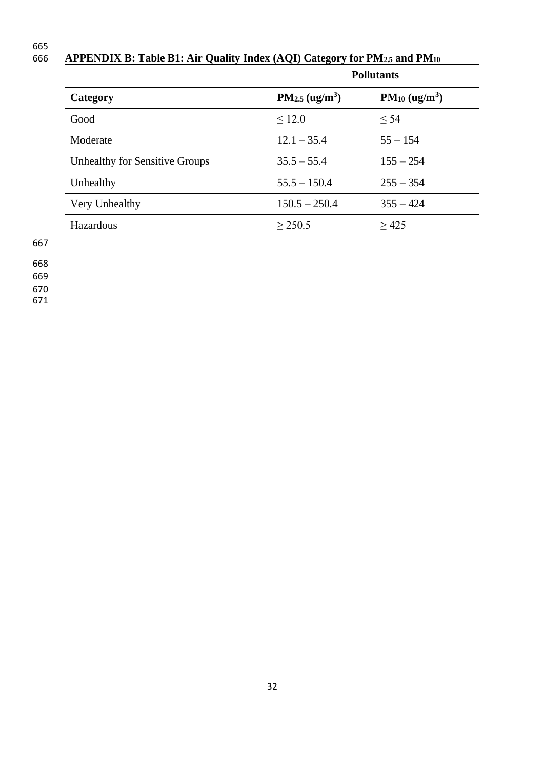# 665<br>666

# 666 **APPENDIX B: Table B1: Air Quality Index (AQI) Category for PM2.5 and PM<sup>10</sup>**

|                                | <b>Pollutants</b>   |                   |
|--------------------------------|---------------------|-------------------|
| Category                       | $PM_{2.5} (ug/m^3)$ | $PM_{10} (ug/m3)$ |
| Good                           | ~12.0               | < 54              |
| Moderate                       | $12.1 - 35.4$       | $55 - 154$        |
| Unhealthy for Sensitive Groups | $35.5 - 55.4$       | $155 - 254$       |
| Unhealthy                      | $55.5 - 150.4$      | $255 - 354$       |
| Very Unhealthy                 | $150.5 - 250.4$     | $355 - 424$       |
| <b>Hazardous</b>               | > 250.5             | >425              |

667

668

669

670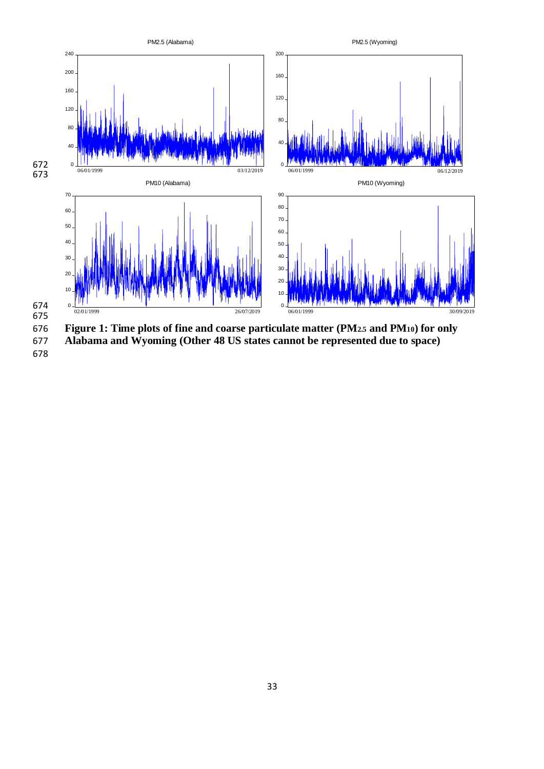

 **Figure 1: Time plots of fine and coarse particulate matter (PM2.5 and PM10) for only Alabama and Wyoming (Other 48 US states cannot be represented due to space)**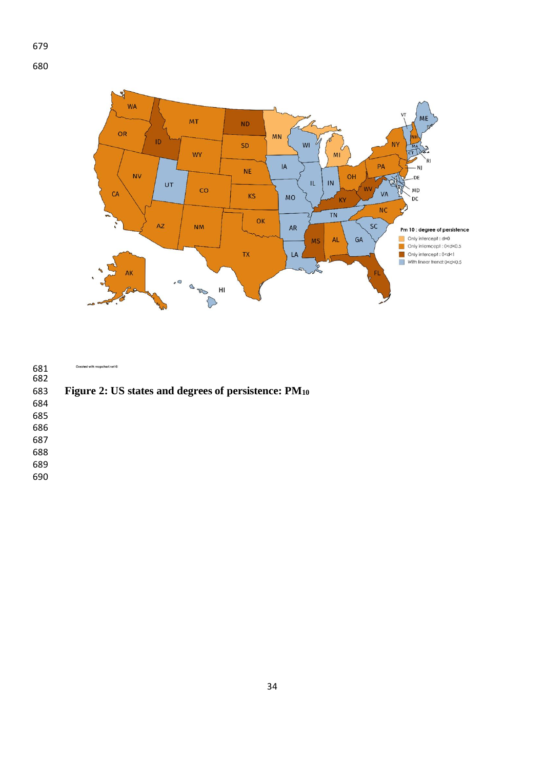



| 681<br>682 | Created with mapchart.net @                          |
|------------|------------------------------------------------------|
| 683        | Figure 2: US states and degrees of persistence: PM10 |
| 684        |                                                      |
| 685        |                                                      |
| 686        |                                                      |
| 687        |                                                      |
| 688        |                                                      |
| 689        |                                                      |
| 690        |                                                      |